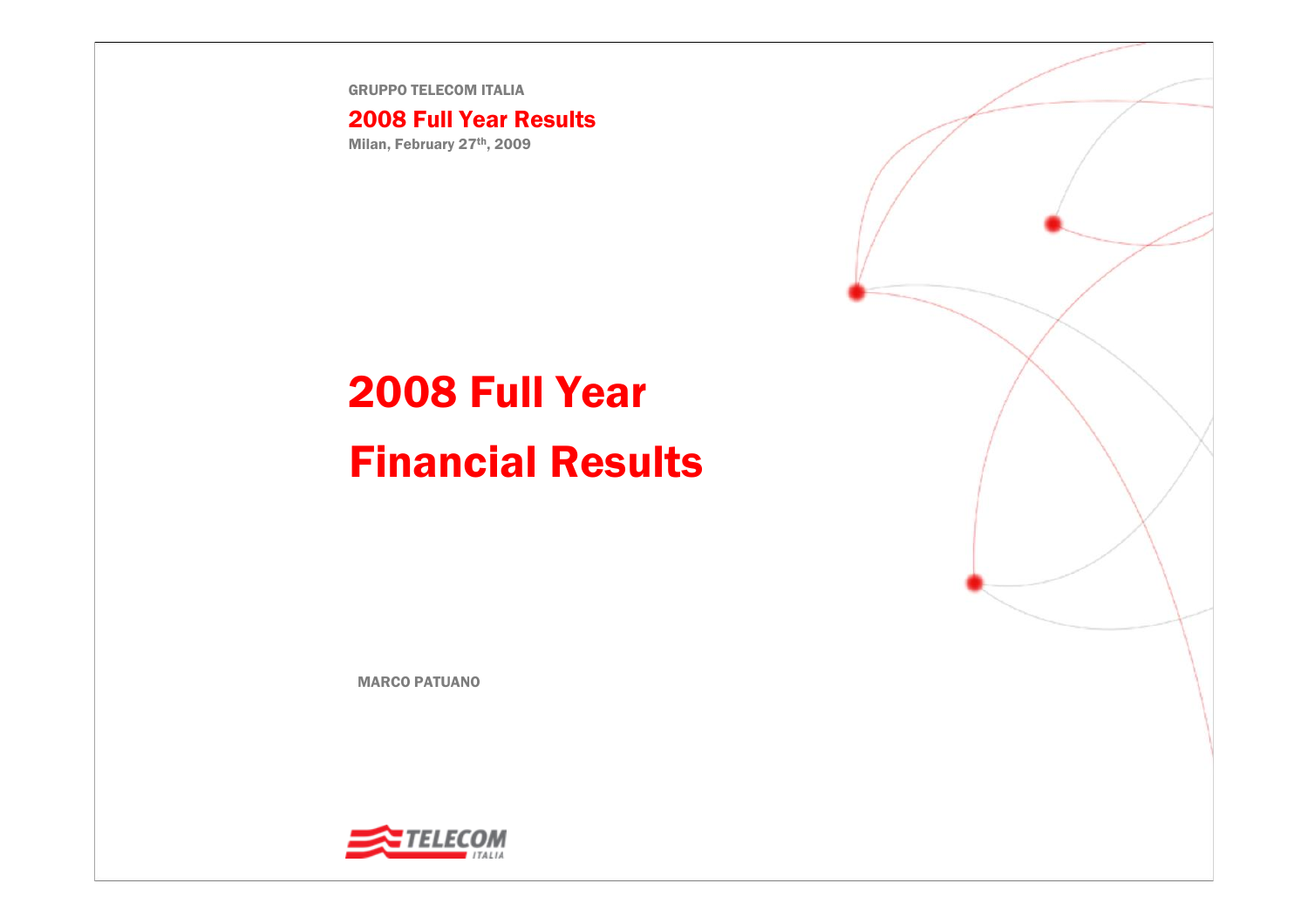GRUPPO TELECOM ITALIA

### 2008 Full Year Results

Milan, February 27th, 2009

# 2008 Full Year Financial Results

MARCO PATUANO

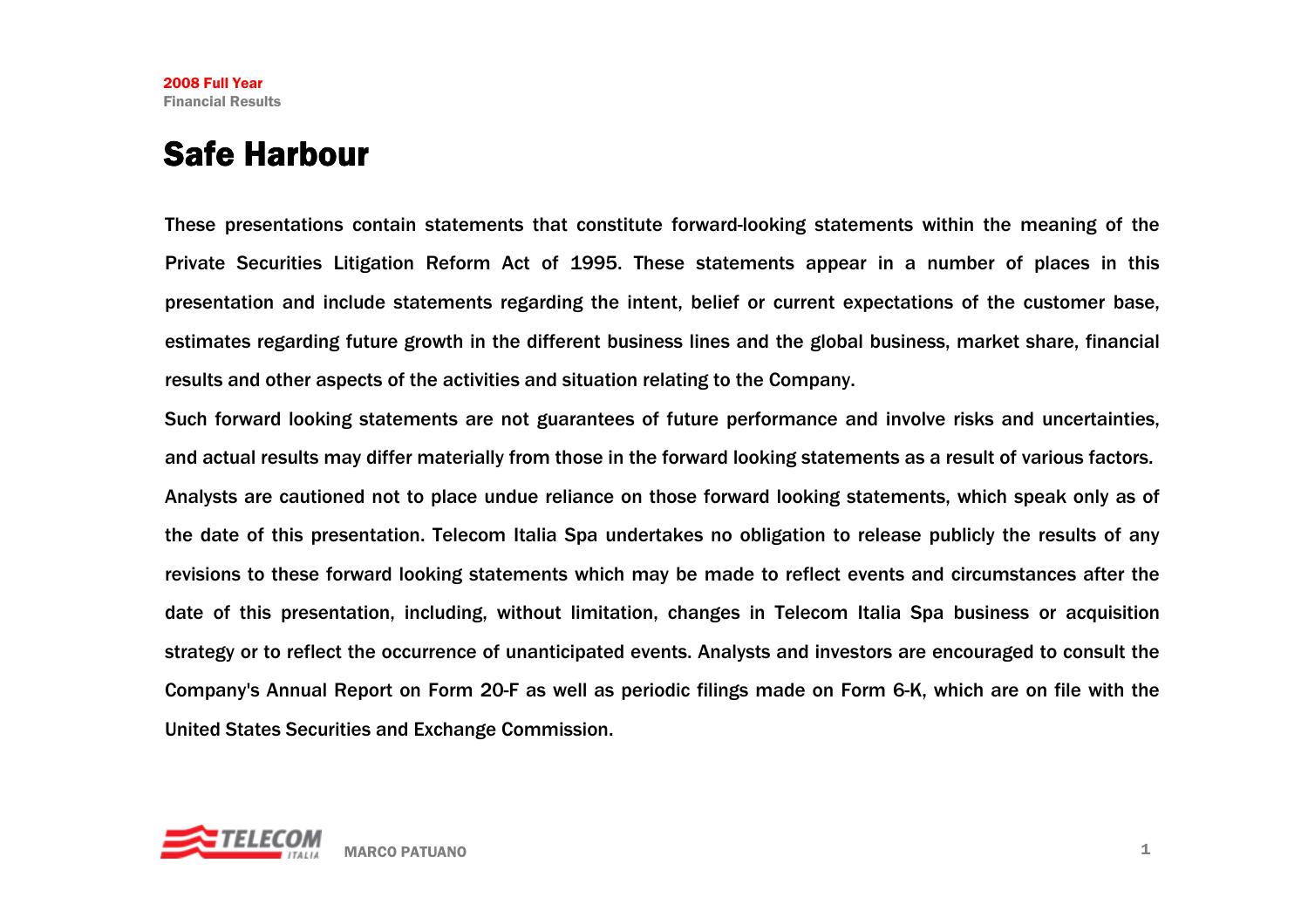## Safe Harbour

These presentations contain statements that constitute forward-looking statements within the meaning of the Private Securities Litigation Reform Act of 1995. These statements appear in a number of places in this presentation and include statements regarding the intent, belief or current expectations of the customer base, estimates regarding future growth in the different business lines and the global business, market share, financial results and other aspects of the activities and situation relating to the Company.

Such forward looking statements are not guarantees of future performance and involve risks and uncertainties, and actual results may differ materially from those in the forward looking statements as a result of various factors. Analysts are cautioned not to place undue reliance on those forward looking statements, which speak only as of the date of this presentation. Telecom Italia Spa undertakes no obligation to release publicly the results of any revisions to these forward looking statements which may be made to reflect events and circumstances after the date of this presentation, including, without limitation, changes in Telecom Italia Spa business or acquisition strategy or to reflect the occurrence of unanticipated events. Analysts and investors are encouraged to consult the Company's Annual Report on Form 20-F as well as periodic filings made on Form 6-K, which are on file with the United States Securities and Exchange Commission.

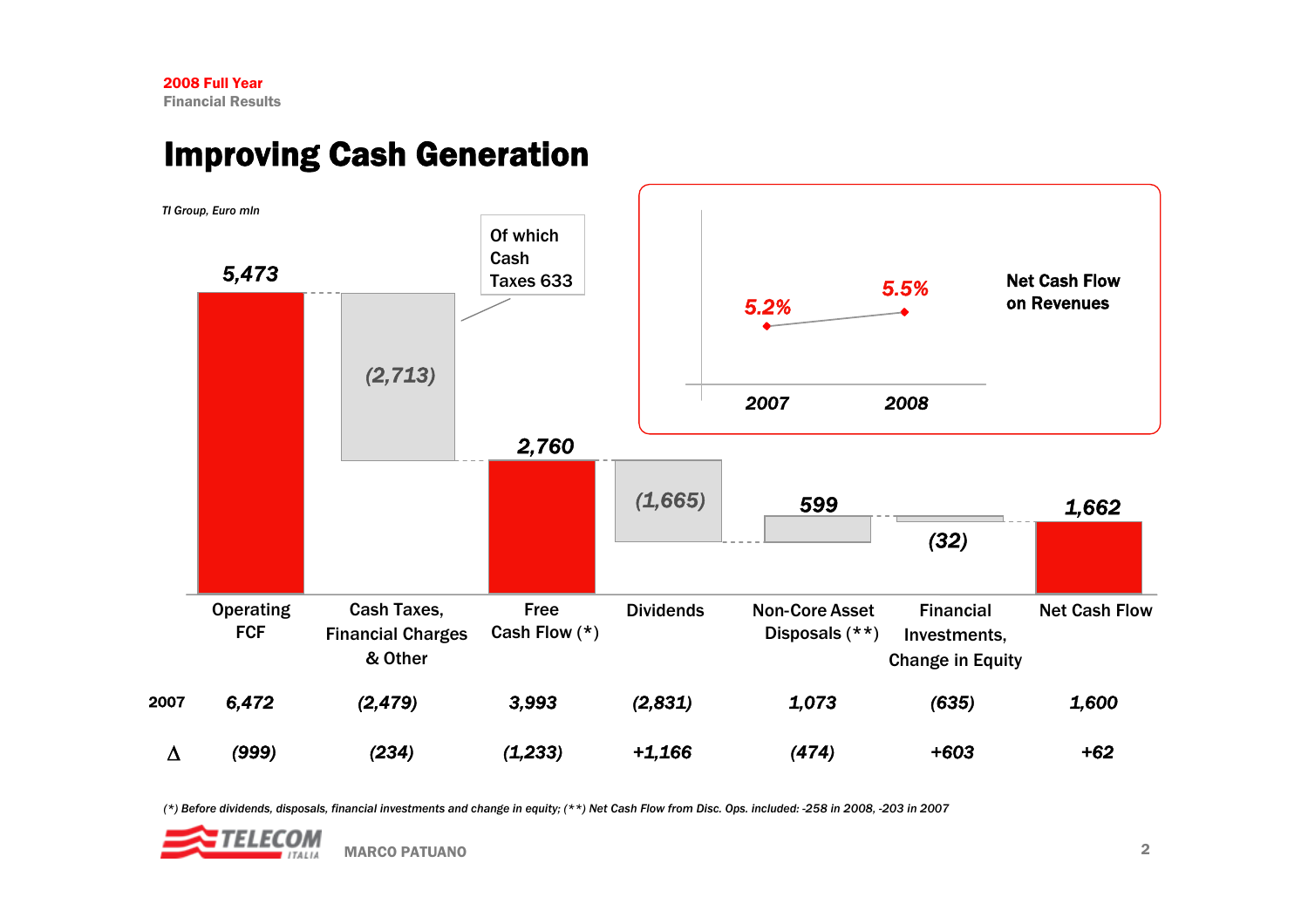# Improving Cash Generation



*(\*) Before dividends, disposals, financial investments and change in equity; (\*\*) Net Cash Flow from Disc. Ops. included: -258 in 2008, -203 in 2007*

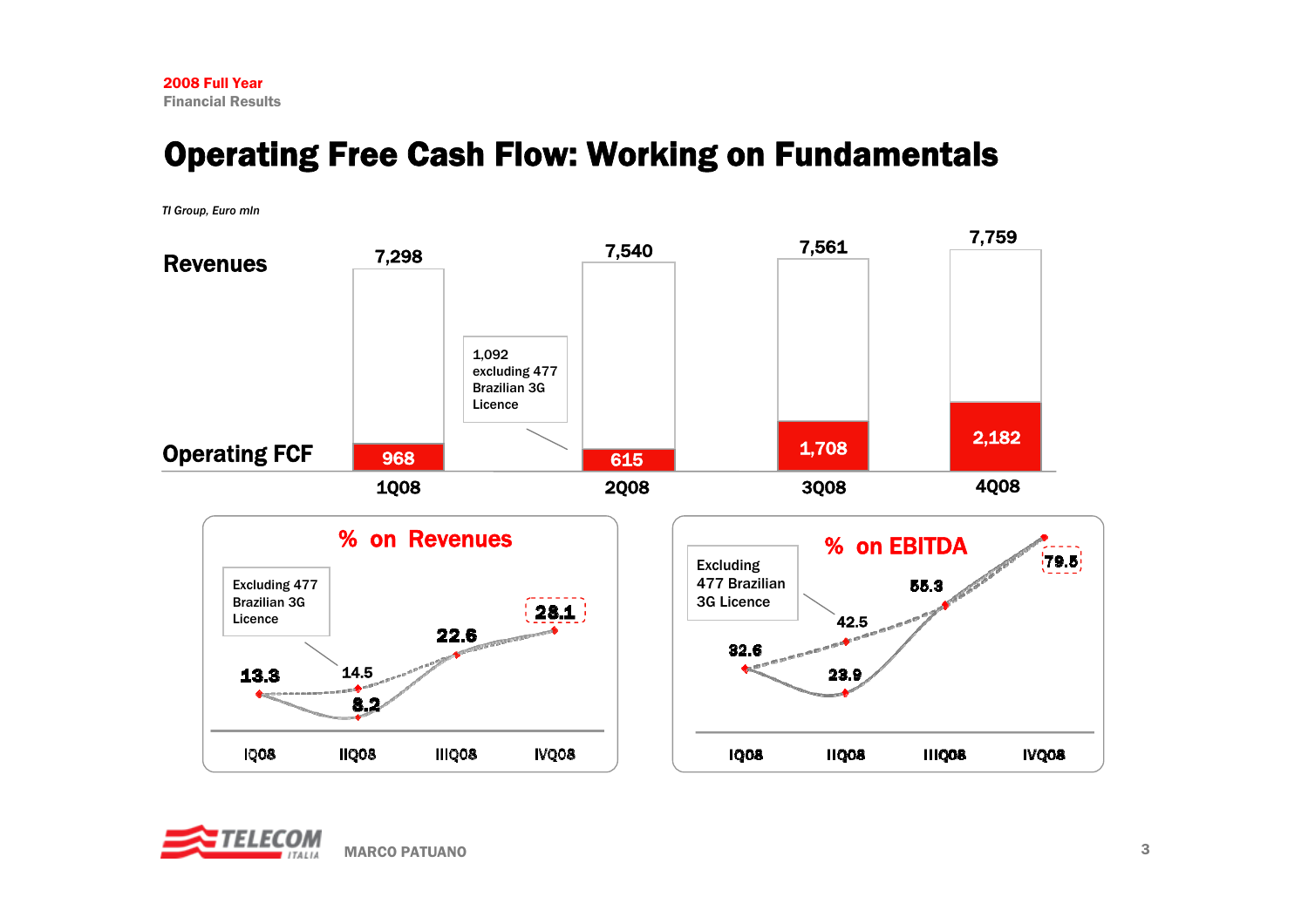# Operating Free Cash Flow: Working on Fundamentals

*TI Group, Euro mln*



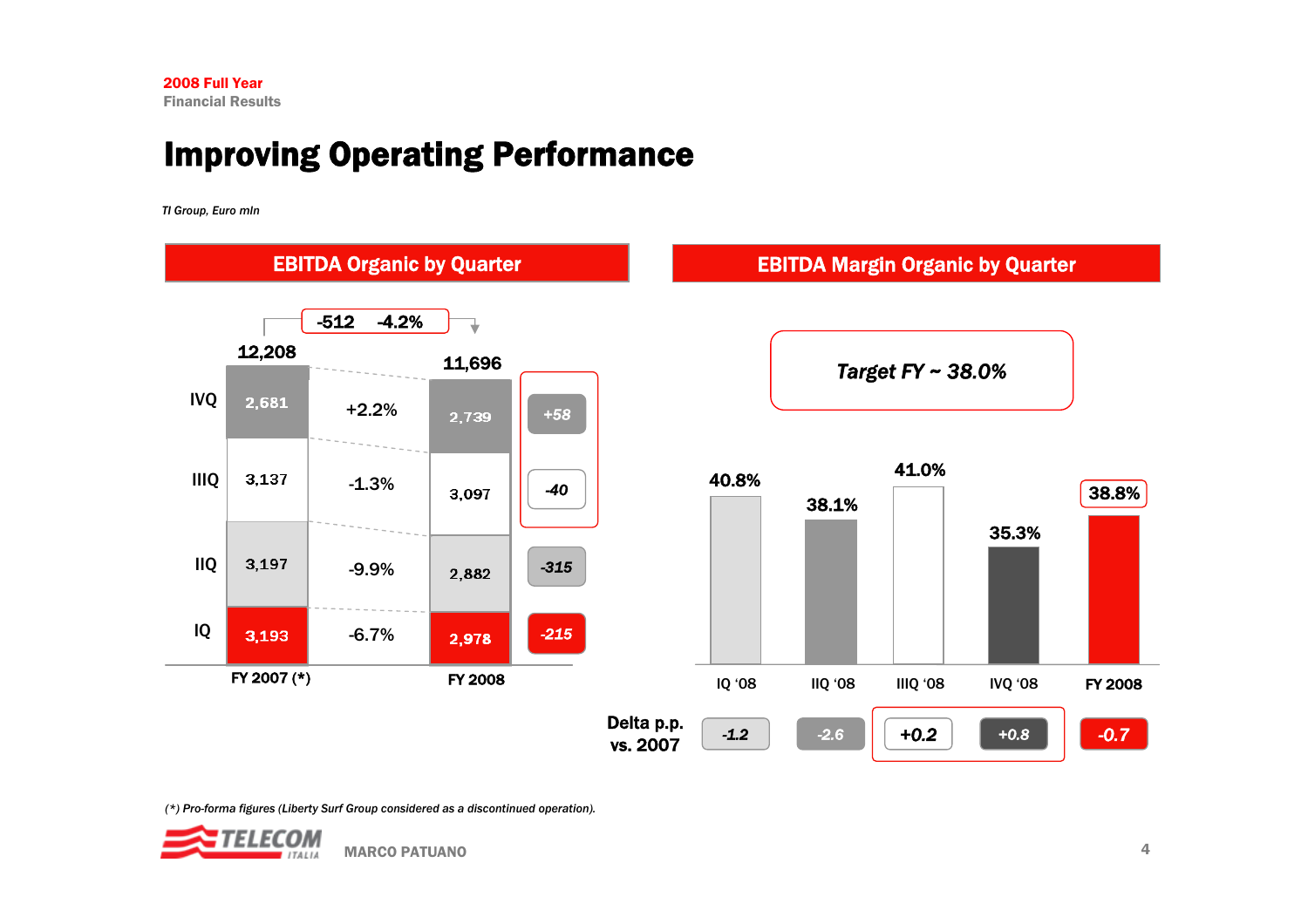# Improving Operating Performance

*TI Group, Euro mln*



![](_page_4_Picture_5.jpeg)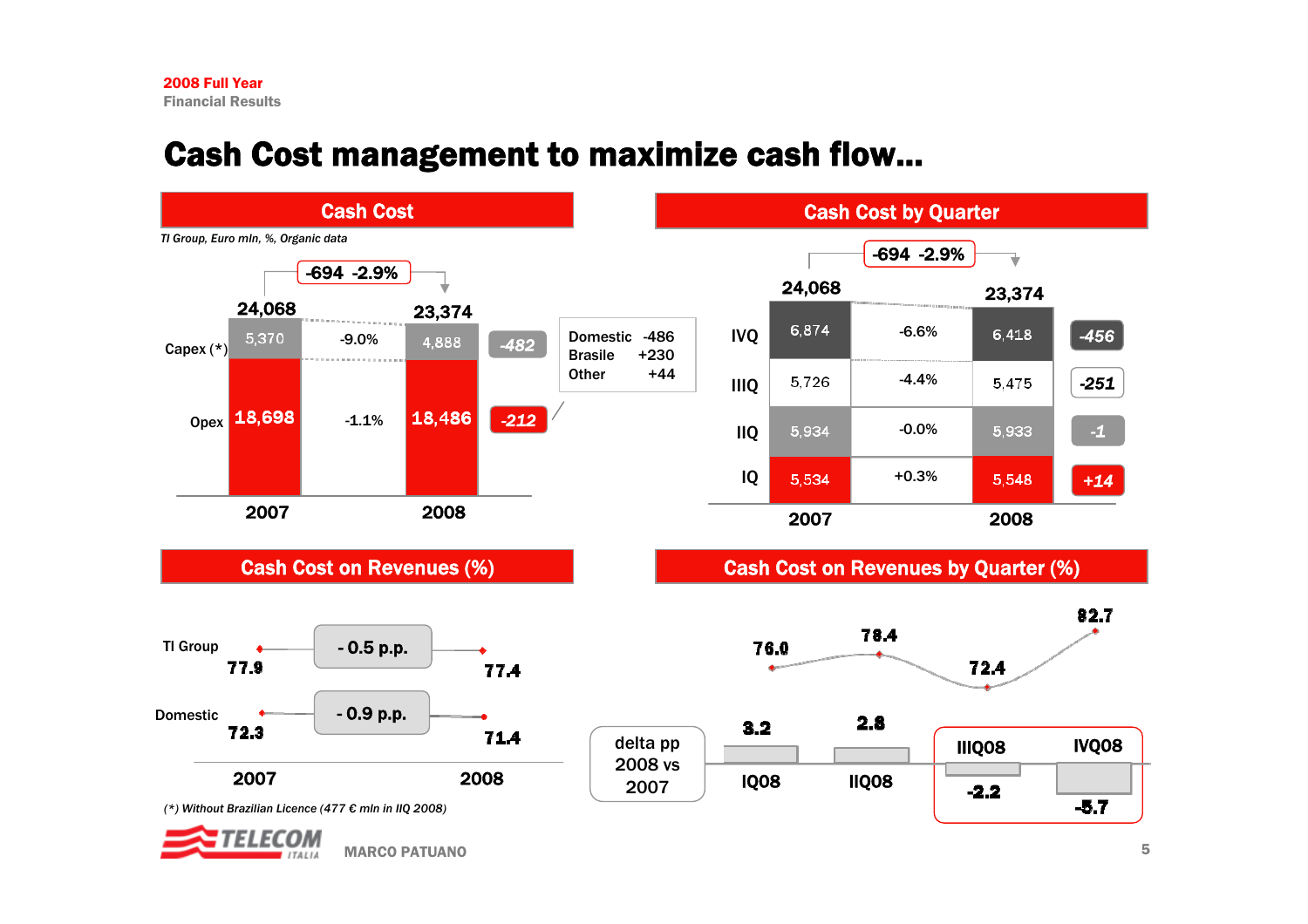# Cash Cost management to maximize cash flow...

![](_page_5_Figure_2.jpeg)

MARCO PATUANO $\sim$  0 and 5 and 5 and 5 and 5 and 5 and 5 and 5 and 5 and 5 and 5 and 5 and 5 and 5 and 5 and 5 and 5 and 5 and 5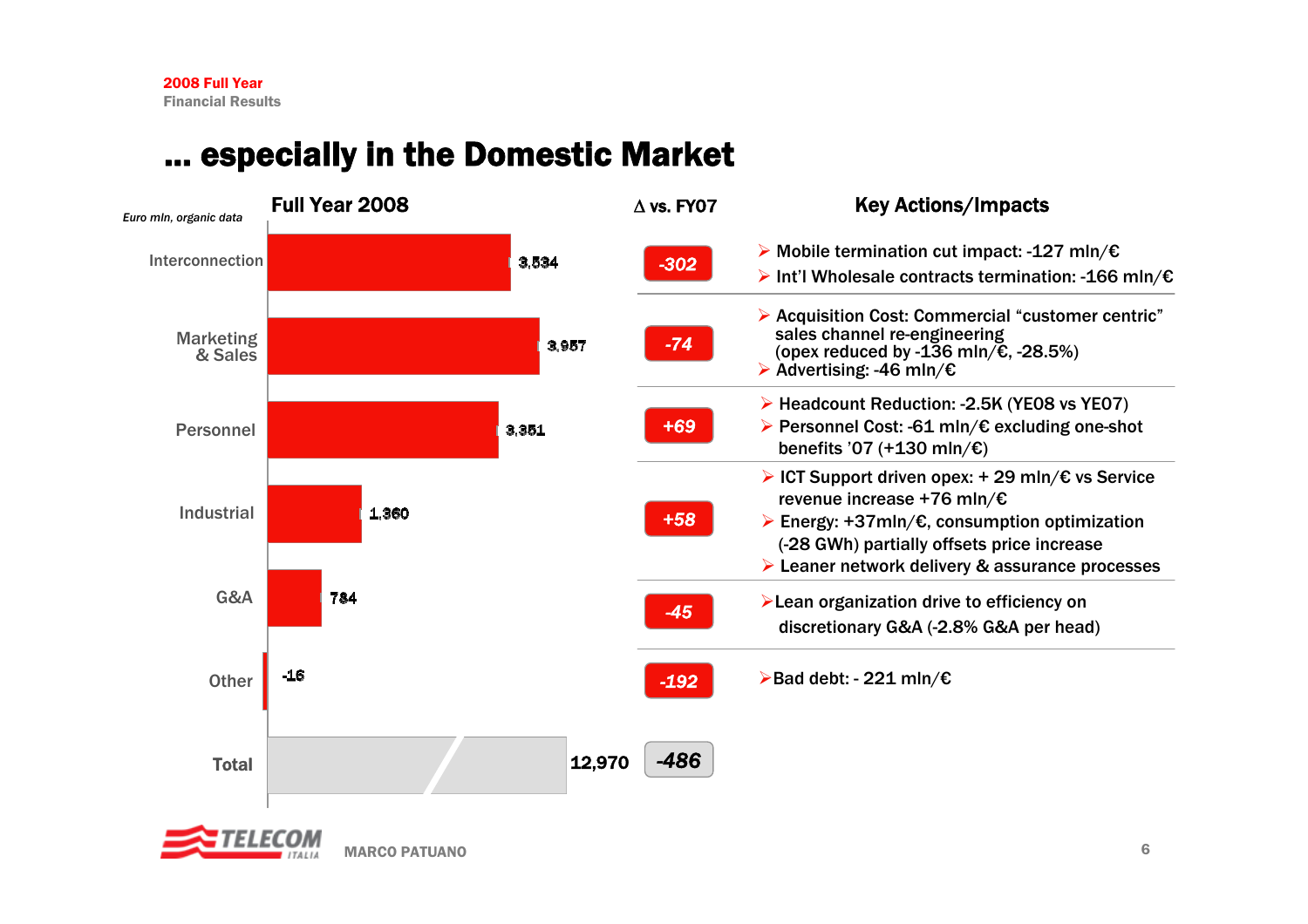# especially in the Domestic Market

![](_page_6_Figure_2.jpeg)

![](_page_6_Picture_3.jpeg)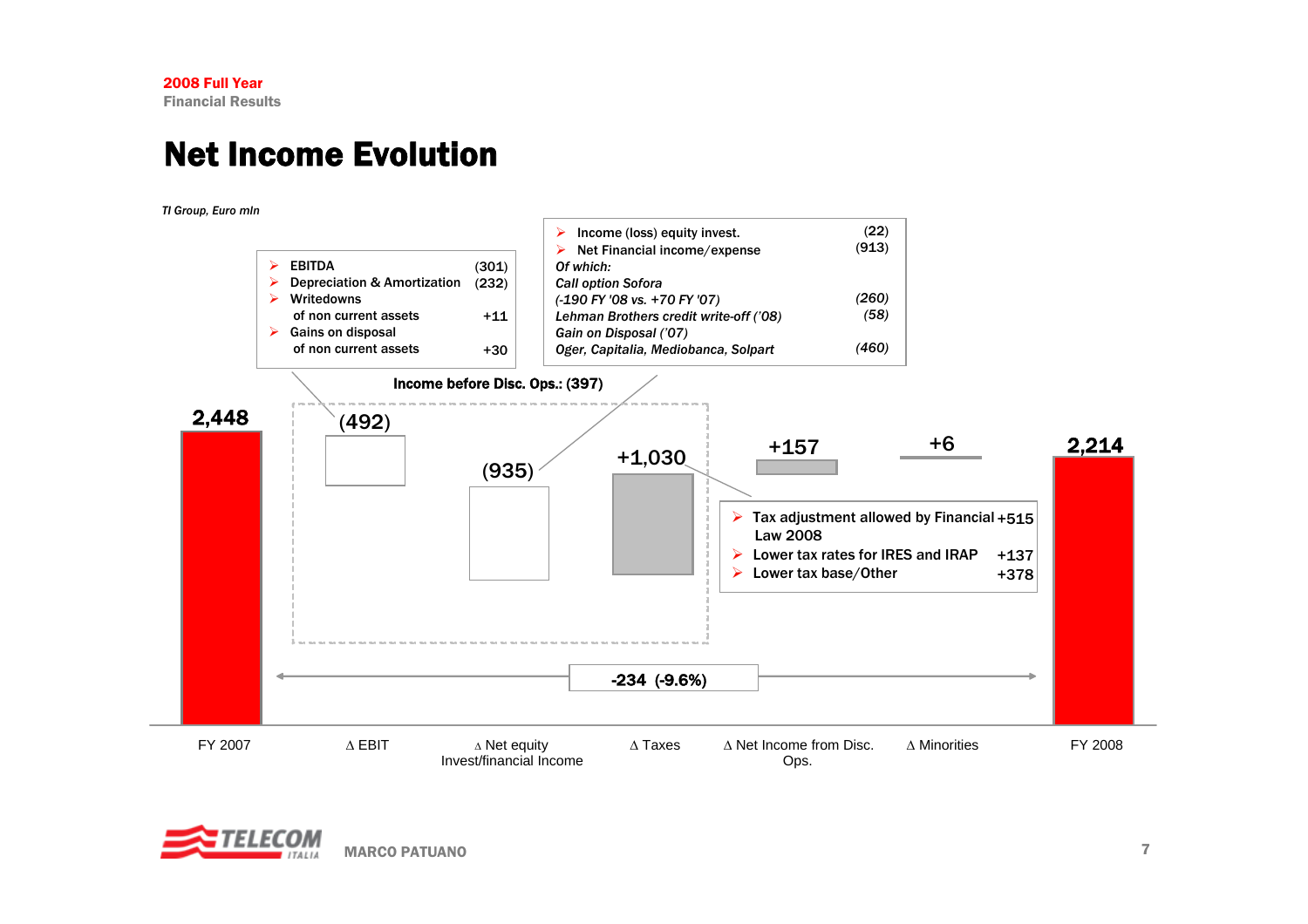# Net Income Evolution

*TI Group, Euro mln*

![](_page_7_Figure_3.jpeg)

![](_page_7_Picture_4.jpeg)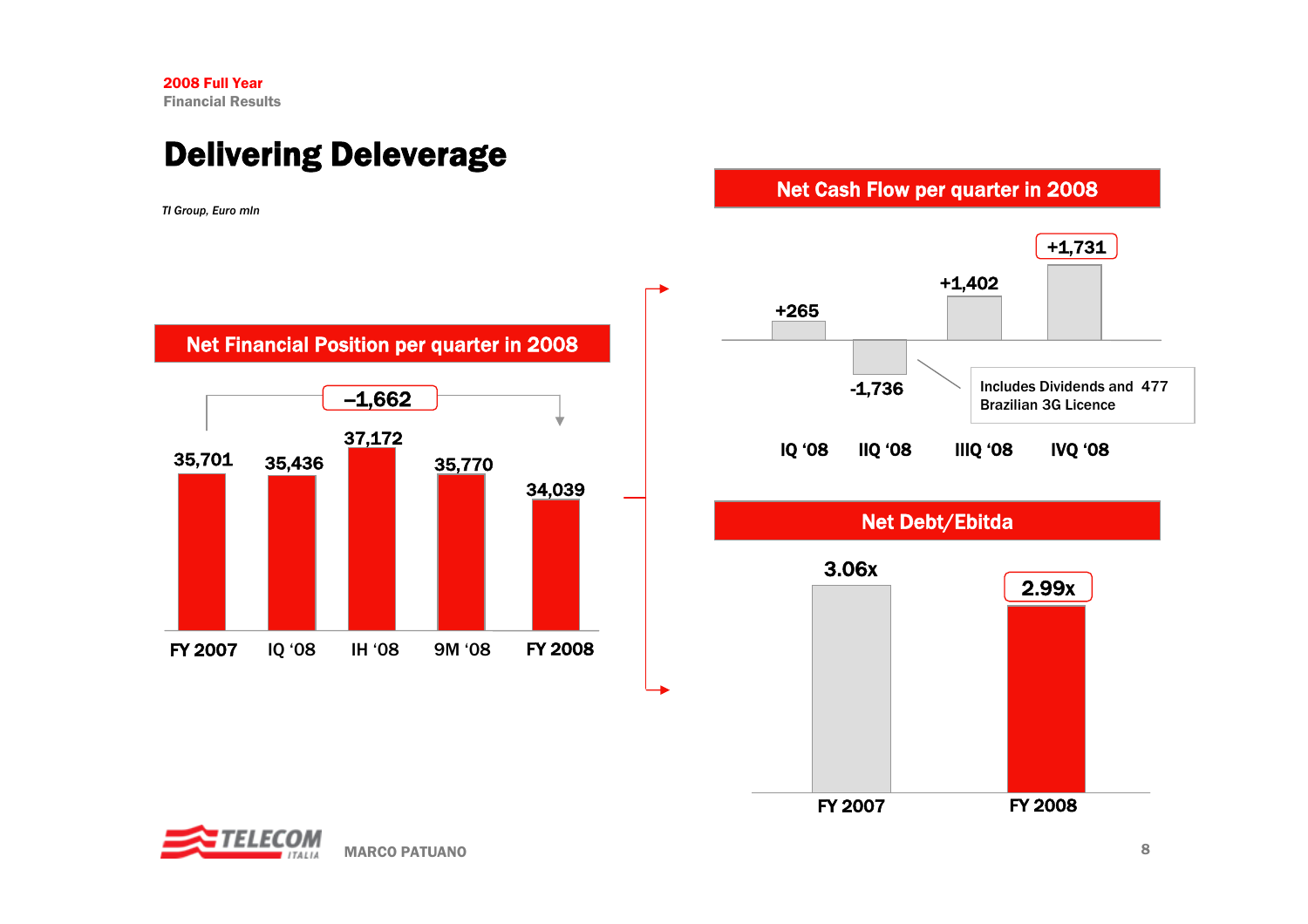# Delivering Deleverage

*TI Group, Euro mln*

Net Cash Flow per quarter in 2008

![](_page_8_Figure_4.jpeg)

![](_page_8_Figure_5.jpeg)

![](_page_8_Picture_6.jpeg)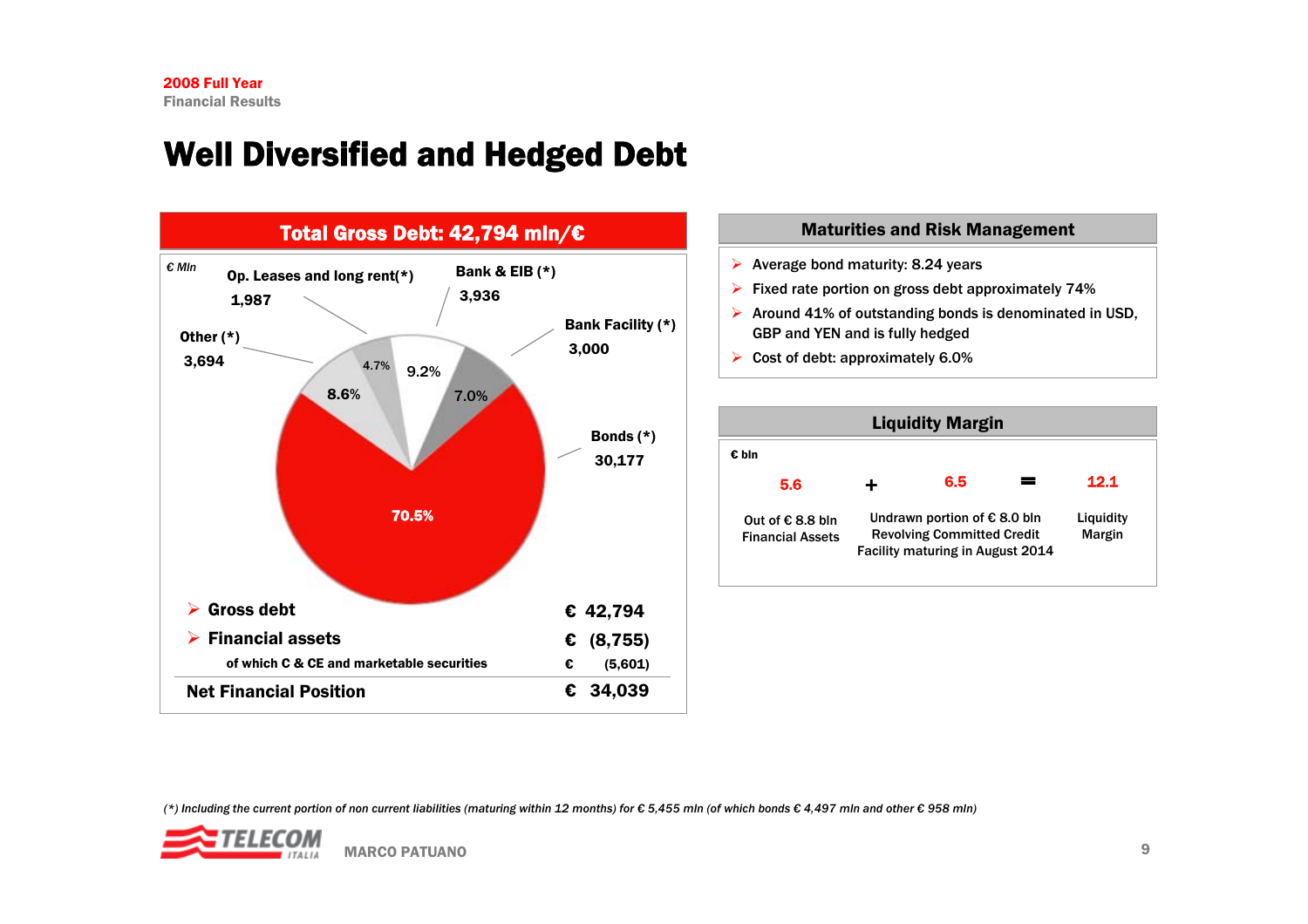# Well Diversified and Hedged Debt

![](_page_9_Figure_2.jpeg)

### Maturities and Risk Management

- $\triangleright$  Average bond maturity: 8.24 years
- $\triangleright$  Fixed rate portion on gross debt approximately 74%
- $\triangleright$  Around 41% of outstanding bonds is denominated in USD, GBP and YEN and is fully hedged
- $\triangleright$  Cost of debt: approximately 6.0%

![](_page_9_Figure_8.jpeg)

*(\*) Including the current portion of non current liabilities (maturing within 12 months) for € 5,455 mln (of which bonds € 4,497 mln and other € 958 mln)*

![](_page_9_Picture_10.jpeg)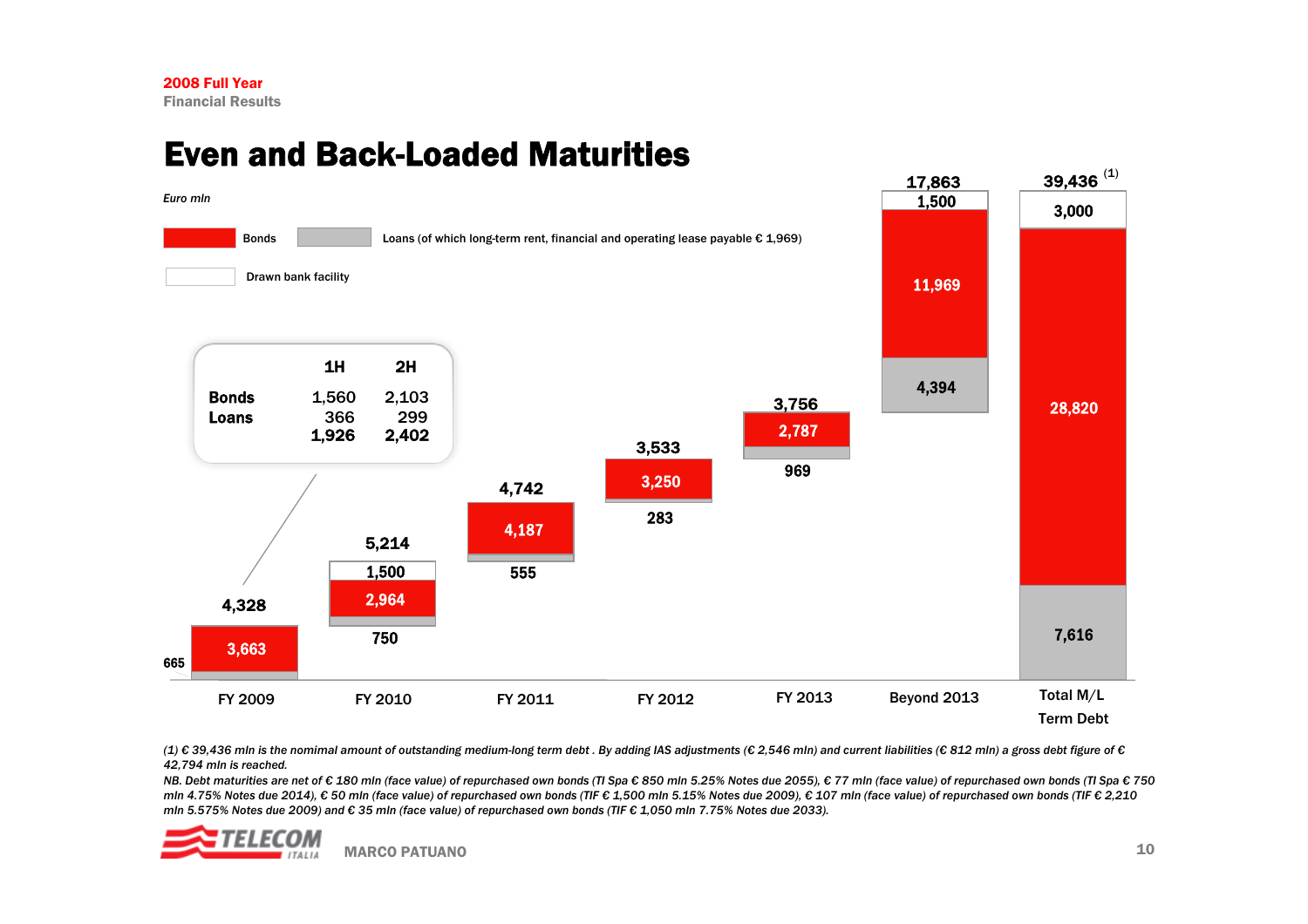## Even and Back-Loaded Maturities

![](_page_10_Figure_2.jpeg)

*(1) € 39,436 mln is the nomimal amount of outstanding medium-long term debt . By adding IAS adjustments (€ 2,546 mln) and current liabilities (€ 812 mln) a gross debt figure of € 42,794 mln is reached.*

*NB. Debt maturities are net of € 180 mln (face value) of repurchased own bonds (TI Spa € 850 mln 5.25% Notes due 2055), € 77 mln (face value) of repurchased own bonds (TI Spa € 750 mln 4.75% Notes due 2014), € 50 mln (face value) of repurchased own bonds (TIF € 1,500 mln 5.15% Notes due 2009), € 107 mln (face value) of repurchased own bonds (TIF € 2,210 mln 5.575% Notes due 2009) and € 35 mln (face value) of repurchased own bonds (TIF € 1,050 mln 7.75% Notes due 2033).*

![](_page_10_Picture_5.jpeg)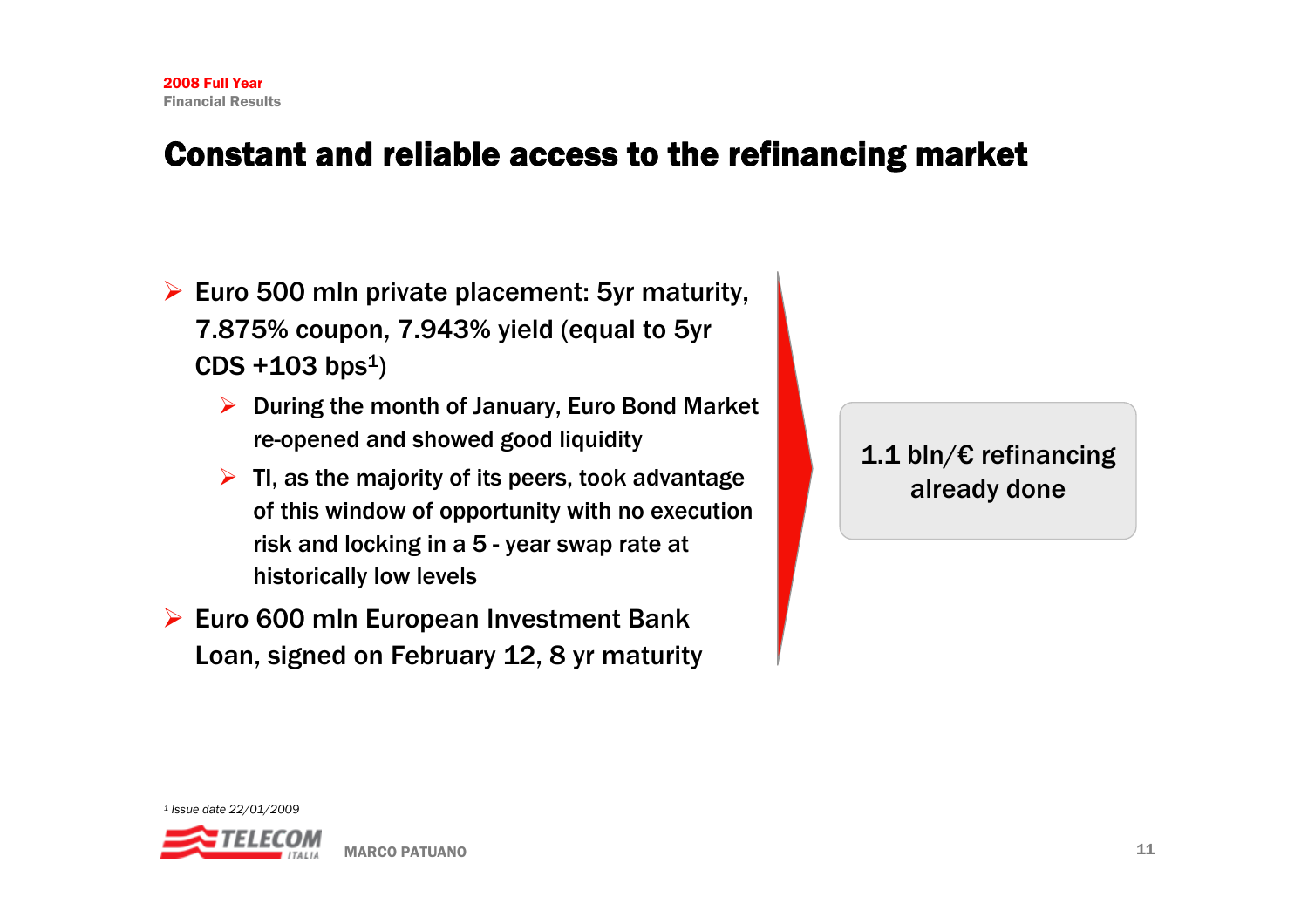## Constant and reliable access to the refinancing market

- $\triangleright$  Euro 500 mln private placement: 5yr maturity, 7.875% coupon, 7.943% yield (equal to 5yr  $CDS + 103 bps<sup>1</sup>$ 
	- ¾ During the month of January, Euro Bond Market re-opened and showed good liquidity
	- $\triangleright$  TI, as the majority of its peers, took advantage of this window of opportunity with no execution risk and locking in a 5 - year swap rate at historically low levels
- $\triangleright$  Euro 600 mln European Investment Bank Loan, signed on February 12, 8 yr maturity

### 1.1 bln/€ refinancing already done

![](_page_11_Picture_7.jpeg)

![](_page_11_Picture_8.jpeg)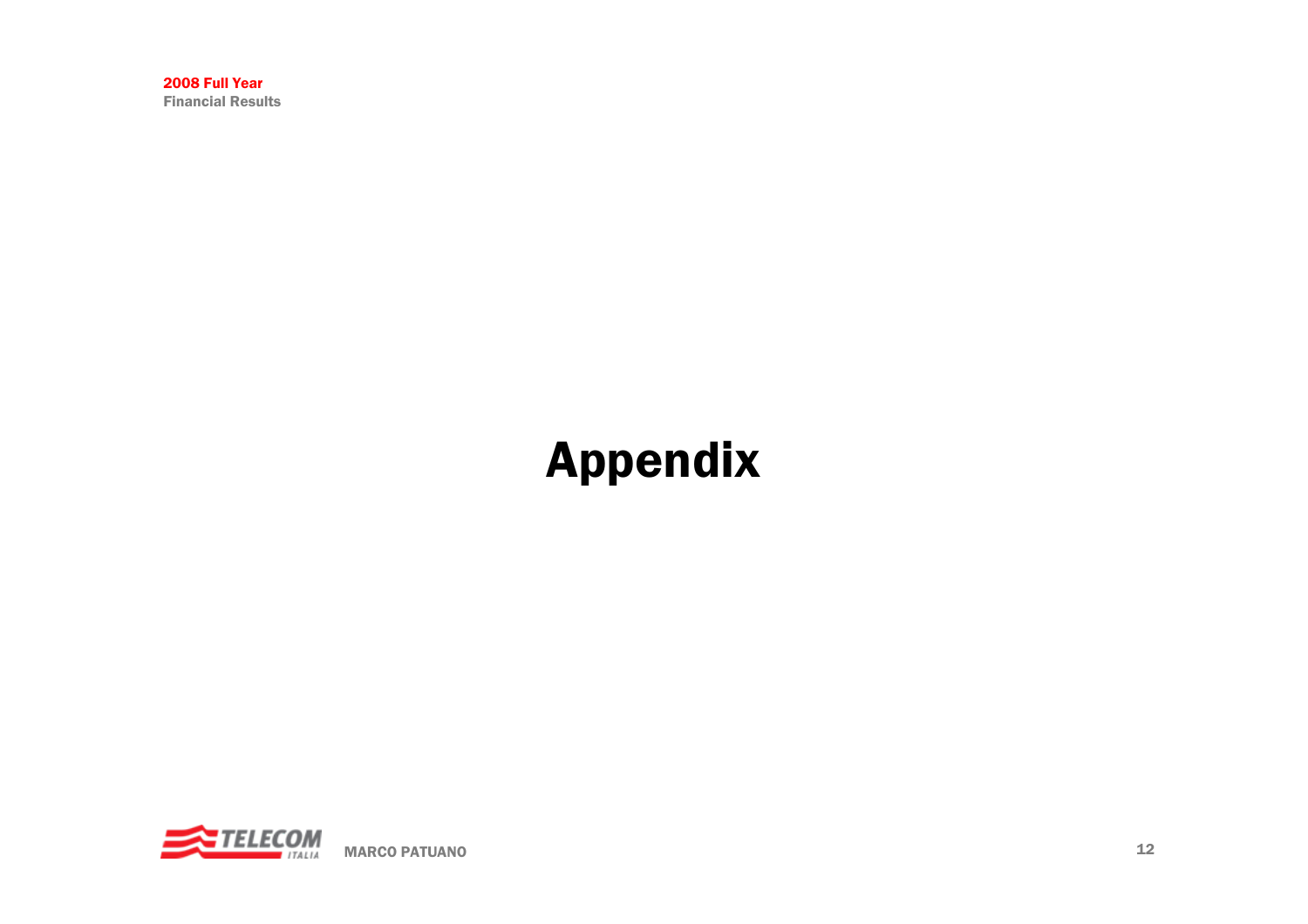# Appendix

![](_page_12_Picture_2.jpeg)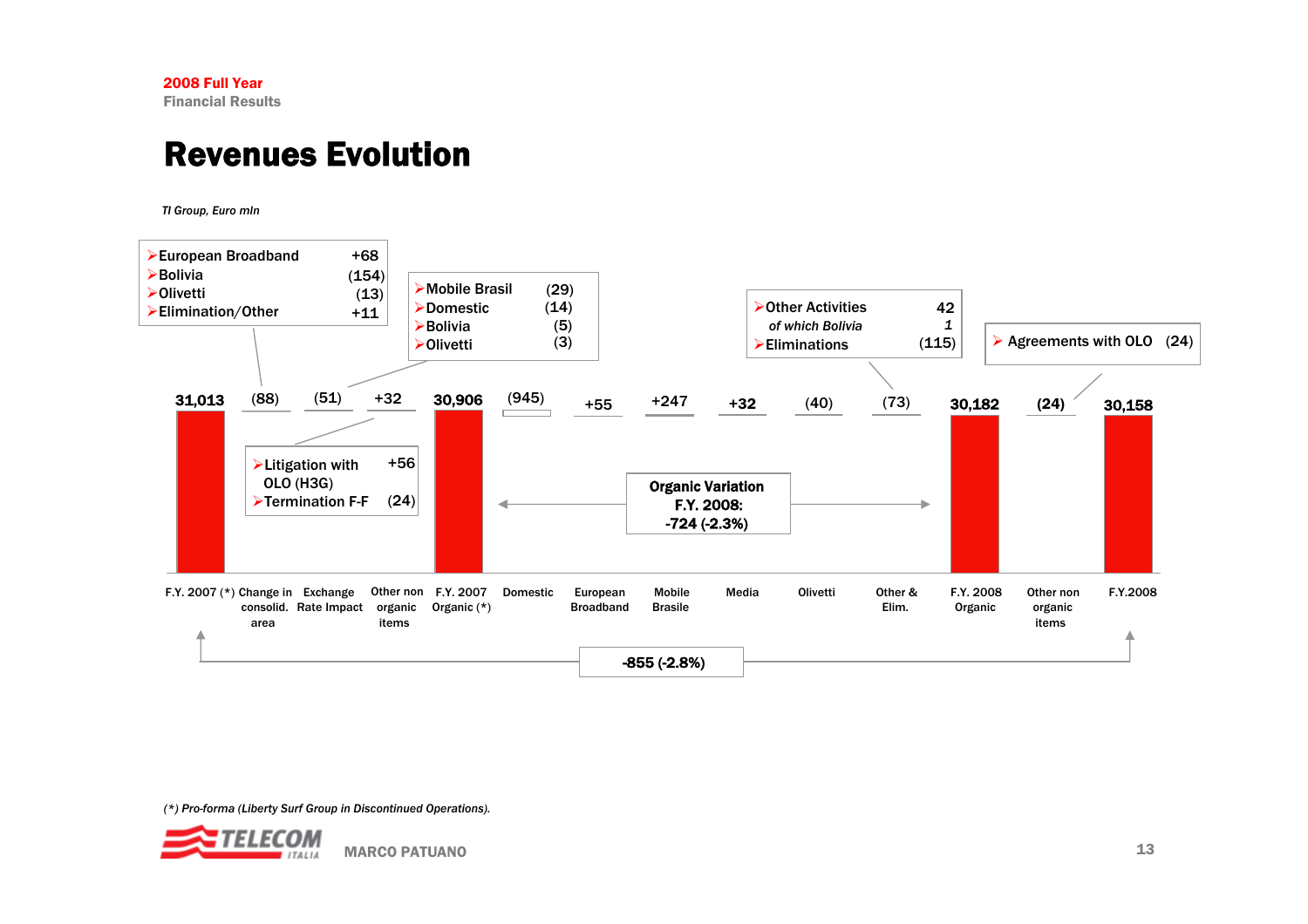# Revenues Evolution

*TI Group, Euro mln*

![](_page_13_Figure_3.jpeg)

*(\*) Pro-forma (Liberty Surf Group in Discontinued Operations).* 

![](_page_13_Picture_5.jpeg)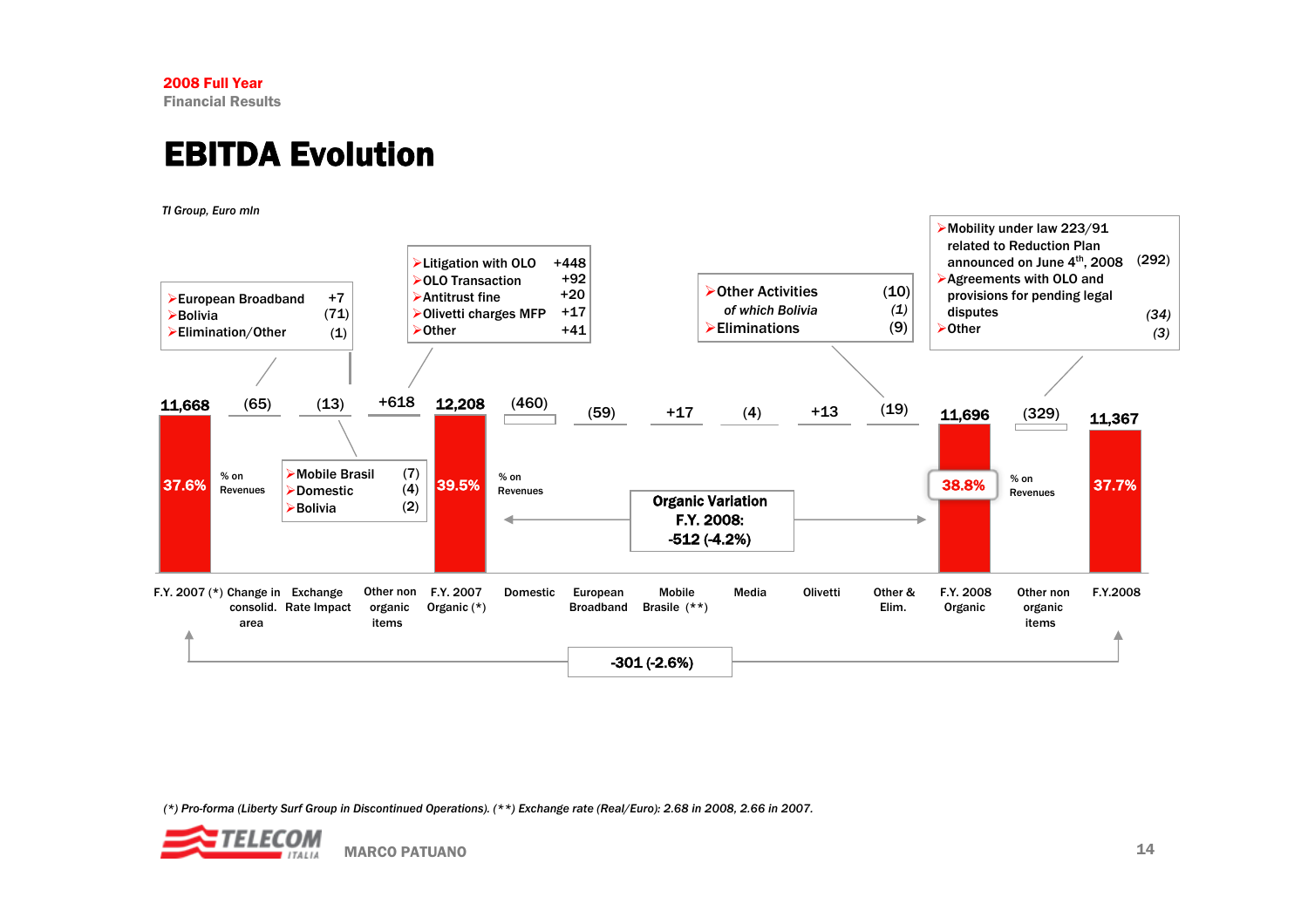# EBITDA Evolution

*TI Group, Euro mln*

![](_page_14_Figure_3.jpeg)

*(\*) Pro-forma (Liberty Surf Group in Discontinued Operations). (\*\*) Exchange rate (Real/Euro): 2.68 in 2008, 2.66 in 2007.*

![](_page_14_Picture_5.jpeg)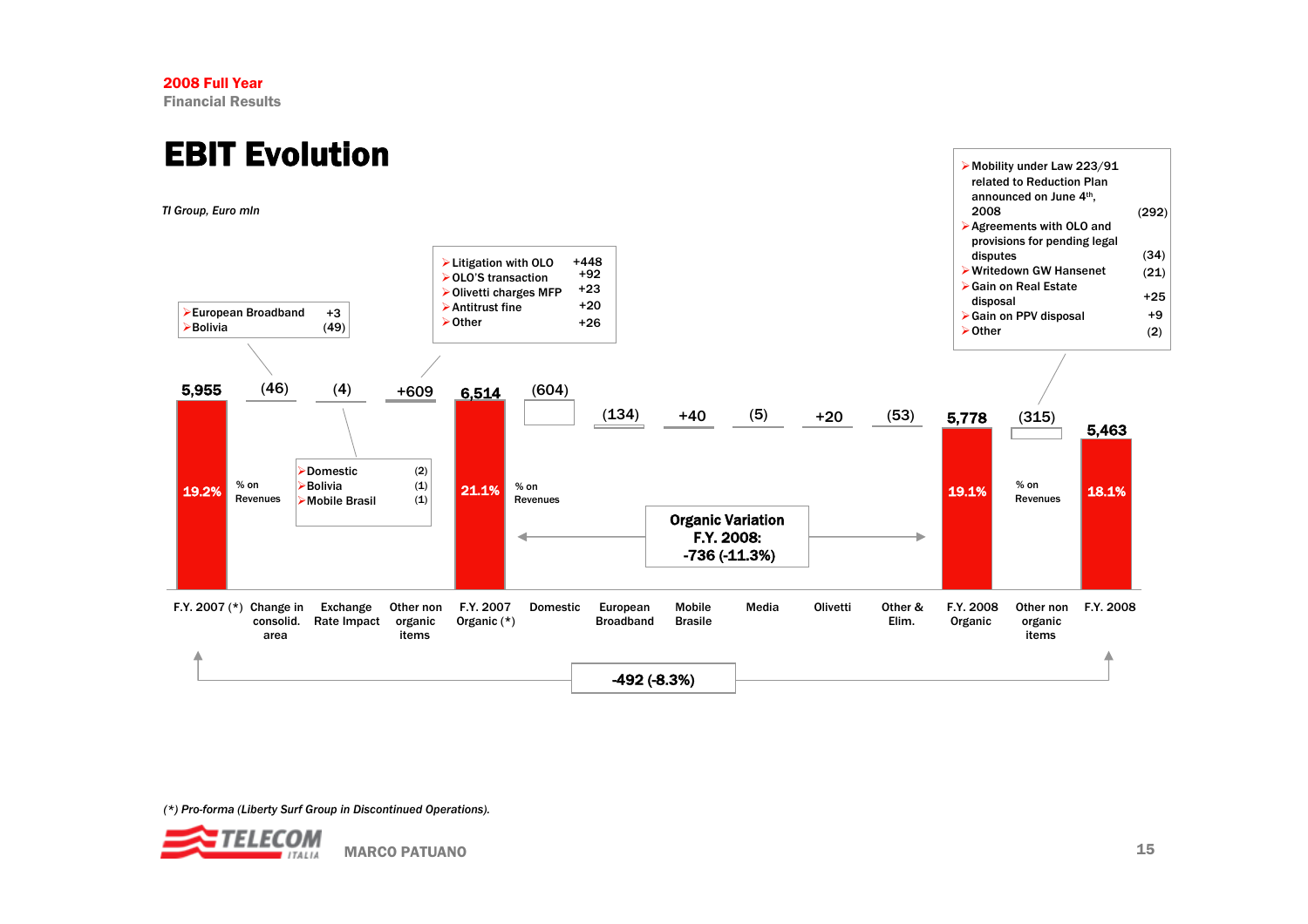# EBIT Evolution

*TI Group, Euro mln*

![](_page_15_Figure_3.jpeg)

*(\*) Pro-forma (Liberty Surf Group in Discontinued Operations).* 

![](_page_15_Picture_5.jpeg)

¾Mobility under Law 223/91 related to Reduction Plan announced on June 4th,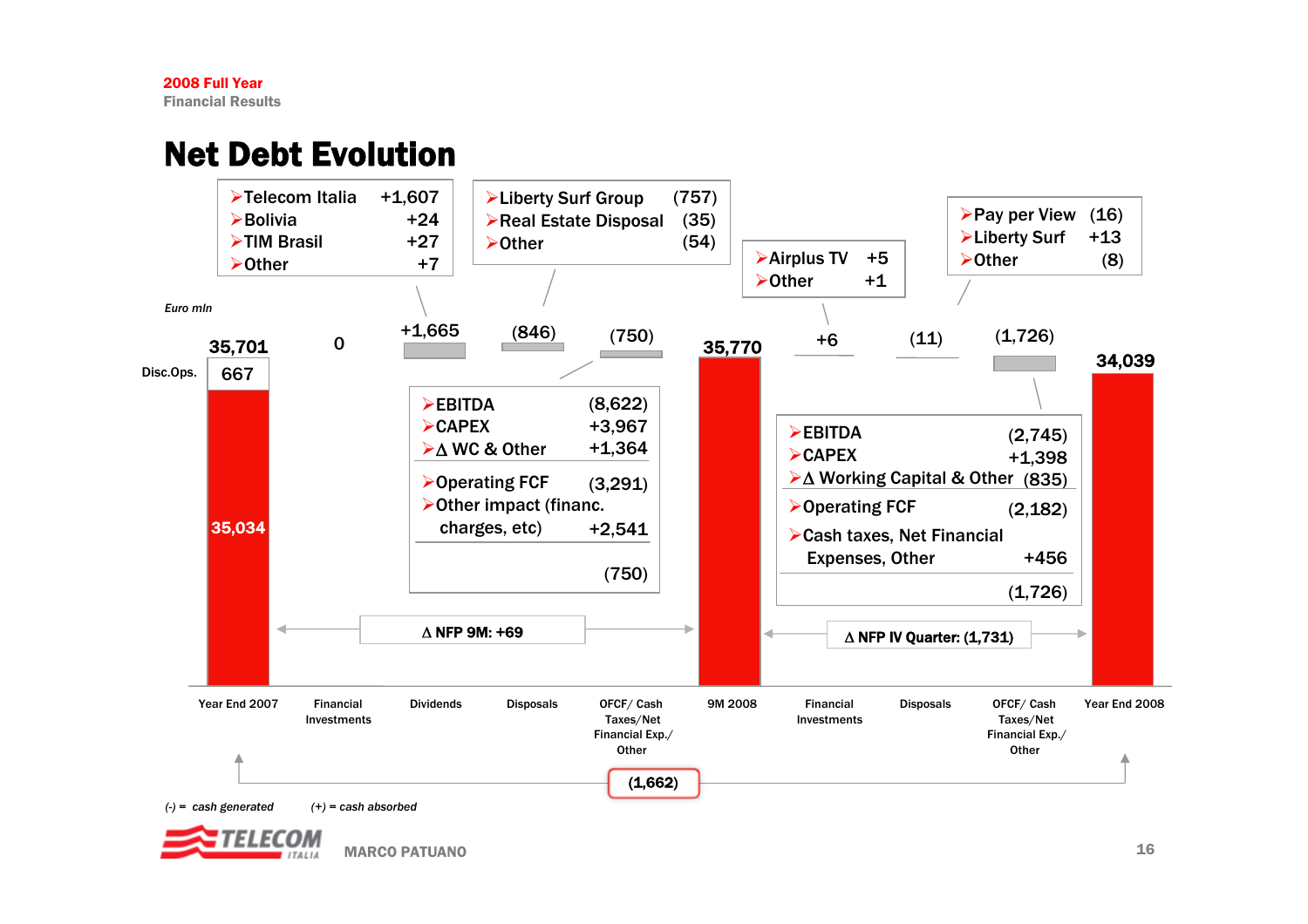# Net Debt Evolution

![](_page_16_Figure_2.jpeg)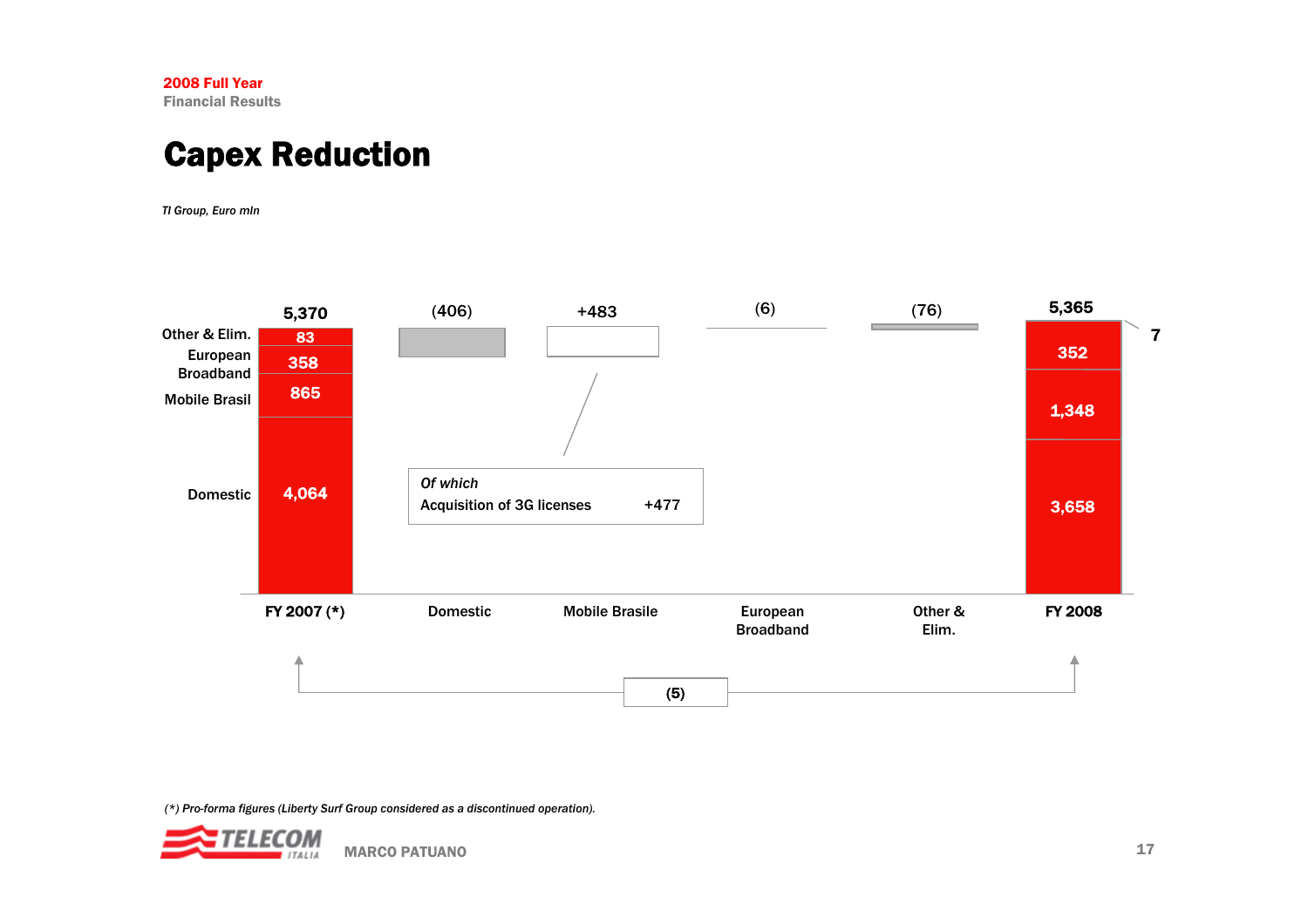# Capex Reduction

*TI Group, Euro mln*

![](_page_17_Figure_3.jpeg)

![](_page_17_Picture_5.jpeg)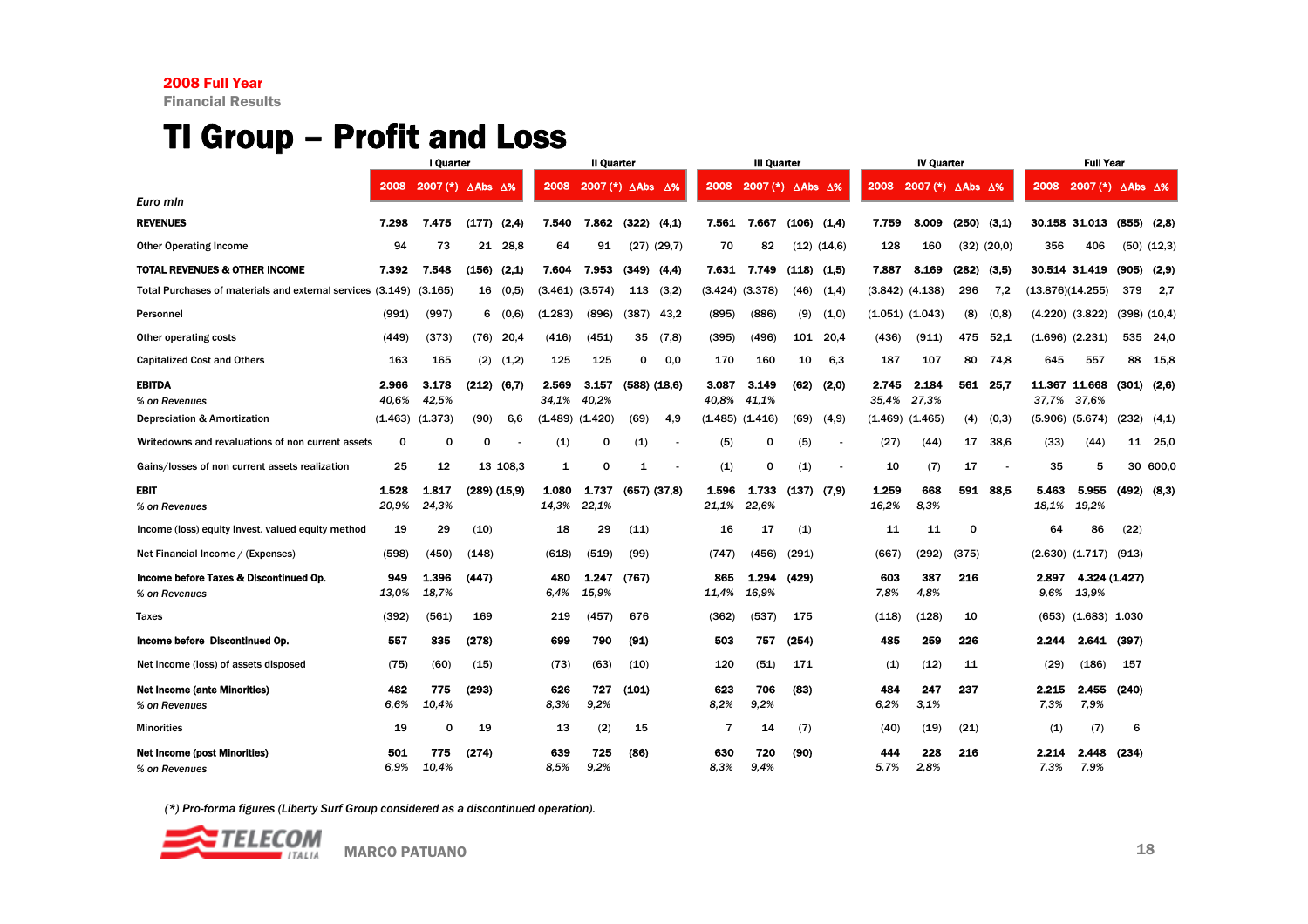## TI Group – Profit and Loss

|                                                         |                | I Quarter                                |       |              |                | Il Quarter                             |       |                  |                | <b>III Quarter</b>  |       |                          |                | <b>IV Quarter</b>                                 |             |                 |               | <b>Full Year</b>                                             |       |                  |
|---------------------------------------------------------|----------------|------------------------------------------|-------|--------------|----------------|----------------------------------------|-------|------------------|----------------|---------------------|-------|--------------------------|----------------|---------------------------------------------------|-------------|-----------------|---------------|--------------------------------------------------------------|-------|------------------|
|                                                         | 2008           | 2007 $(*)$ $\triangle$ Abs $\triangle$ % |       |              | 2008           | 2007 (*) $\triangle$ Abs $\triangle$ % |       |                  | 2008           | 2007 (*) ∆Abs ∆%    |       |                          | 2008           | 2007 (*) $\triangle$ Abs $\overline{\triangle}$ % |             |                 | 2008          | 2007 (*) $\overline{\triangle}$ Abs $\overline{\triangle}$ % |       |                  |
| Euro min                                                |                |                                          |       |              |                |                                        |       |                  |                |                     |       |                          |                |                                                   |             |                 |               |                                                              |       |                  |
| <b>REVENUES</b>                                         | 7.298          | 7.475                                    | (177) | (2,4)        | 7.540          | 7.862                                  | (322) | (4,1)            | 7.561          | 7.667               | (106) | (1,4)                    | 7.759          | 8.009                                             | (250)       | (3,1)           |               | 30.158 31.013                                                | (855) | (2,8)            |
| <b>Other Operating Income</b>                           | 94             | 73                                       | 21    | 28,8         | 64             | 91                                     |       | $(27)$ $(29,7)$  | 70             | 82                  |       | $(12)$ $(14,6)$          | 128            | 160                                               |             | $(32)$ $(20.0)$ | 356           | 406                                                          |       | $(50)$ $(12,3)$  |
| TOTAL REVENUES & OTHER INCOME                           | 7.392          | 7.548                                    | (156) | (2.1)        | 7.604          | 7.953                                  | (349) | (4.4)            | 7.631          | 7.749               | (118) | (1,5)                    | 7.887          | 8.169                                             | (282)       | (3.5)           |               | 30.514 31.419                                                | (905) | (2.9)            |
| Total Purchases of materials and external services      | (3.149)        | (3.165)                                  | 16    | (0,5)        |                | $(3.461)$ $(3.574)$                    | 113   | (3,2)            |                | (3.424) (3.378)     | (46)  | (1,4)                    |                | $(3.842)$ $(4.138)$                               | 296         | 7,2             |               | (13.876)(14.255)                                             | 379   | 2,7              |
| Personnel                                               | (991)          | (997)                                    | 6     | (0,6)        | (1.283)        | (896)                                  | (387) | 43,2             | (895)          | (886)               | (9)   | (1,0)                    |                | $(1.051)$ $(1.043)$                               | (8)         | (0,8)           |               | $(4.220)$ $(3.822)$                                          |       | $(398)$ $(10,4)$ |
| Other operating costs                                   | (449)          | (373)                                    | (76)  | 20.4         | (416)          | (451)                                  | 35    | (7,8)            | (395)          | (496)               | 101   | 20.4                     | (436)          | (911)                                             | 475         | 52.1            |               | $(1.696)$ $(2.231)$                                          |       | 535 24,0         |
| <b>Capitalized Cost and Others</b>                      | 163            | 165                                      | (2)   | (1,2)        | 125            | 125                                    | 0     | 0.0              | 170            | 160                 | 10    | 6,3                      | 187            | 107                                               | 80          | 74,8            | 645           | 557                                                          | 88    | 15,8             |
| <b>EBITDA</b><br>% on Revenues                          | 2.966<br>40.6% | 3.178<br>42.5%                           | (212) | (6,7)        | 2.569<br>34,1% | 3.157<br>40.2%                         |       | $(588)$ $(18.6)$ | 3.087<br>40.8% | 3.149<br>41.1%      | (62)  | (2,0)                    | 2.745<br>35.4% | 2.184<br>27.3%                                    | 561         | 25.7            | 37.7%         | 11.367 11.668<br>37.6%                                       | (301) | (2,6)            |
| Depreciation & Amortization                             | (1.463)        | (1.373)                                  | (90)  | 6.6          | (1.489)        | (1.420)                                | (69)  | 4,9              |                | $(1.485)$ $(1.416)$ | (69)  | (4, 9)                   | (1.469)        | (1.465)                                           | (4)         | (0,3)           |               | $(5.906)$ $(5.674)$                                          | (232) | (4,1)            |
| Writedowns and revaluations of non current assets       | $\mathbf 0$    | 0                                        | 0     |              | (1)            | O                                      | (1)   |                  | (5)            | 0                   | (5)   | $\overline{\phantom{a}}$ | (27)           | (44)                                              | 17          | 38.6            | (33)          | (44)                                                         | 11    | 25,0             |
| Gains/losses of non current assets realization          | 25             | 12                                       |       | 13 108,3     | 1              | O                                      | 1     |                  | (1)            | 0                   | (1)   |                          | 10             | (7)                                               | 17          |                 | 35            | 5                                                            |       | 30 600,0         |
| EBIT                                                    | 1.528          | 1.817                                    |       | (289) (15,9) | 1.080          | 1.737                                  |       | $(657)$ $(37,8)$ | 1.596          | 1.733               | (137) | (7, 9)                   | 1.259          | 668                                               | 591         | 88.5            | 5.463         | 5.955                                                        |       | $(492)$ $(8,3)$  |
| % on Revenues                                           | 20.9%          | 24,3%                                    |       |              | 14.3%          | 22,1%                                  |       |                  | 21,1%          | 22.6%               |       |                          | 16,2%          | 8.3%                                              |             |                 | 18.1%         | 19,2%                                                        |       |                  |
| Income (loss) equity invest, valued equity method       | 19             | 29                                       | (10)  |              | 18             | 29                                     | (11)  |                  | 16             | 17                  | (1)   |                          | 11             | 11                                                | $\mathbf 0$ |                 | 64            | 86                                                           | (22)  |                  |
| Net Financial Income / (Expenses)                       | (598)          | (450)                                    | (148) |              | (618)          | (519)                                  | (99)  |                  | (747)          | (456)               | (291) |                          | (667)          | (292)                                             | (375)       |                 |               | $(2.630)$ $(1.717)$                                          | (913) |                  |
| Income before Taxes & Discontinued Op.<br>% on Revenues | 949<br>13.0%   | 1.396<br>18,7%                           | (447) |              | 480<br>6.4%    | 1.247<br>15,9%                         | (767) |                  | 865<br>11,4%   | 1.294<br>16.9%      | (429) |                          | 603<br>7.8%    | 387<br>4.8%                                       | 216         |                 | 2.897<br>9.6% | 4.324 (1.427)<br>13.9%                                       |       |                  |
| Taxes                                                   | (392)          | (561)                                    | 169   |              | 219            | (457)                                  | 676   |                  | (362)          | (537)               | 175   |                          | (118)          | (128)                                             | 10          |                 | (653)         | (1.683)                                                      | 1.030 |                  |
| Income before Discontinued Op.                          | 557            | 835                                      | (278) |              | 699            | 790                                    | (91)  |                  | 503            | 757                 | (254) |                          | 485            | 259                                               | 226         |                 | 2.244         | 2.641                                                        | (397) |                  |
| Net income (loss) of assets disposed                    | (75)           | (60)                                     | (15)  |              | (73)           | (63)                                   | (10)  |                  | 120            | (51)                | 171   |                          | (1)            | (12)                                              | 11          |                 | (29)          | (186)                                                        | 157   |                  |
| <b>Net Income (ante Minorities)</b>                     | 482            | 775                                      | (293) |              | 626            | 727                                    | (101) |                  | 623            | 706                 | (83)  |                          | 484            | 247                                               | 237         |                 | 2.215         | 2.455                                                        | (240) |                  |
| % on Revenues                                           | 6.6%           | 10,4%                                    |       |              | 8.3%           | 9,2%                                   |       |                  | 8.2%           | 9,2%                |       |                          | 6.2%           | 3.1%                                              |             |                 | 7,3%          | 7,9%                                                         |       |                  |
| <b>Minorities</b>                                       | 19             | 0                                        | 19    |              | 13             | (2)                                    | 15    |                  | $\overline{7}$ | 14                  | (7)   |                          | (40)           | (19)                                              | (21)        |                 | (1)           | (7)                                                          | 6     |                  |
| <b>Net Income (post Minorities)</b><br>% on Revenues    | 501<br>6.9%    | 775<br>10,4%                             | (274) |              | 639<br>8.5%    | 725<br>9.2%                            | (86)  |                  | 630<br>8.3%    | 720<br>9.4%         | (90)  |                          | 444<br>5.7%    | 228<br>2.8%                                       | 216         |                 | 2.214<br>7.3% | 2.448<br>7.9%                                                | (234) |                  |

![](_page_18_Picture_4.jpeg)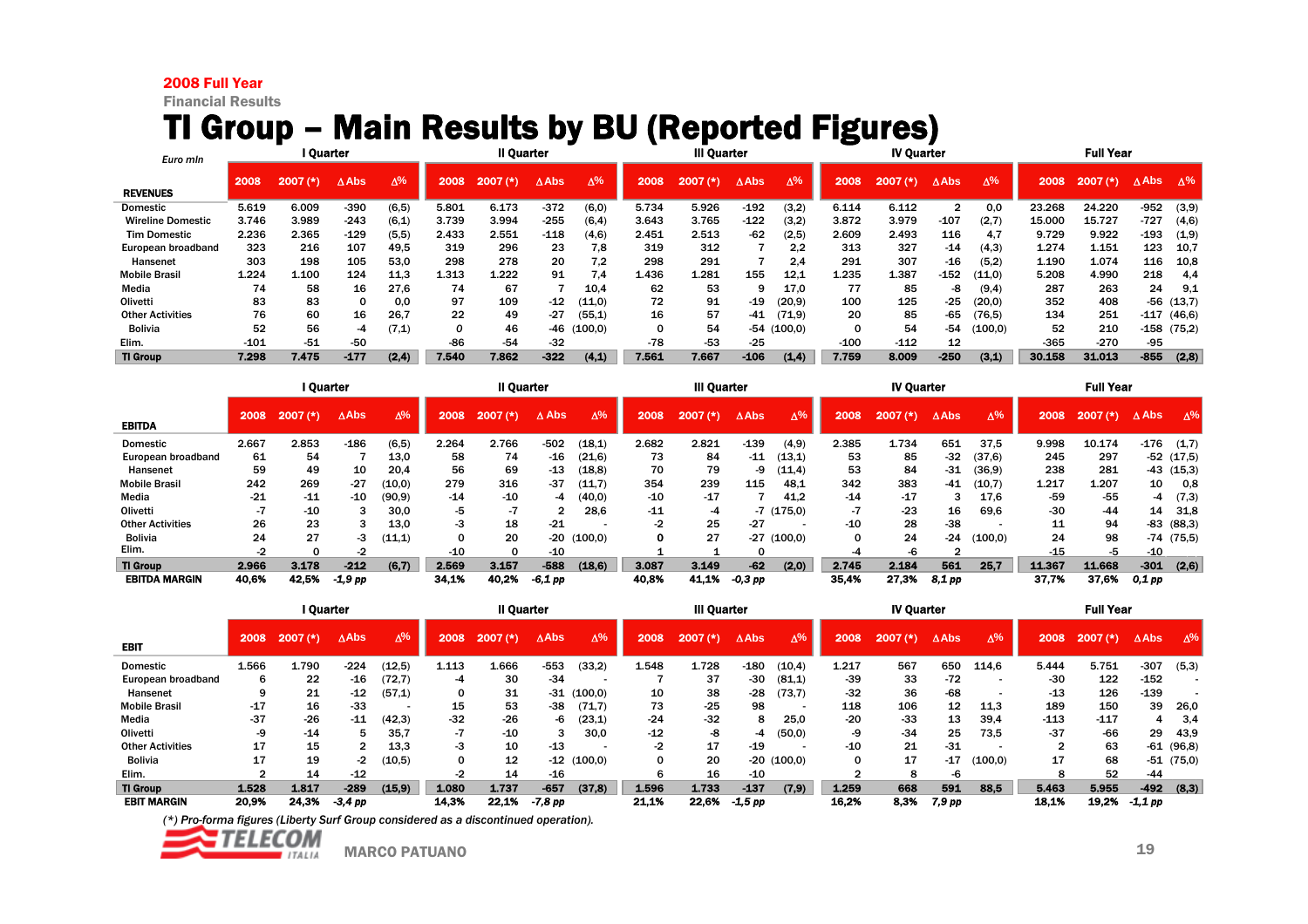#### 2008 Full Year

Financial Results

# TI Group – Main Results by BU (Reported Figures)

| Euro min                 | l Quarter |            |                 |            |       | <b>Il Quarter</b> |                 |            |       | <b>III Quarter</b> |              |                 |              | <b>IV Quarter</b> |                 |            |        | <b>Full Year</b> |                 |            |
|--------------------------|-----------|------------|-----------------|------------|-------|-------------------|-----------------|------------|-------|--------------------|--------------|-----------------|--------------|-------------------|-----------------|------------|--------|------------------|-----------------|------------|
| <b>REVENUES</b>          | 2008      | $2007$ (*) | $\triangle$ Abs | $\Delta\%$ | 2008  | 2007<br>$f$ *)    | $\triangle$ Abs | $\Delta\%$ | 2008  | 2007<br>(*)        | $\Delta$ Abs | $\Delta\%$      | 2008         | 2007 (*)          | $\triangle$ Abs | $\Delta\%$ | 2008   | 2007<br>$(*)$    | $\triangle$ Abs | $\Delta\%$ |
| Domestic                 | 5.619     | 6.009      | $-390$          | (6, 5)     | 5.801 | 6.173             | $-372$          | (6, 0)     | 5.734 | 5.926              | $-192$       | (3,2)           | 6.114        | 6.112             | 2               | 0.0        | 23.268 | 24.220           | $-952$          | (3,9)      |
| <b>Wireline Domestic</b> | 3.746     | 3.989      | $-243$          | (6,1)      | 3.739 | 3.994             | $-255$          | (6, 4)     | 3.643 | 3.765              | $-122$       | (3,2)           | 3.872        | 3.979             | -107            | (2,7)      | 15,000 | 15.727           | $-727$          | (4,6)      |
| <b>Tim Domestic</b>      | 2.236     | 2.365      | $-129$          | (5,5)      | 2.433 | 2.551             | $-118$          | (4.6)      | 2.451 | 2.513              | -62          | (2,5)           | 2.609        | 2.493             | 116             | 4.7        | 9.729  | 9.922            | $-193$          | (1,9)      |
| European broadband       | 323       | 216        | 107             | 49.5       | 319   | 296               | 23              | 7.8        | 319   | 312                |              | 2.2             | 313          | 327               | $-14$           | (4,3)      | 1.274  | 1.151            | 123             | 10.7       |
| Hansenet                 | 303       | 198        | 105             | 53.0       | 298   | 278               | 20              | 7.2        | 298   | 291                |              | 2.4             | 291          | 307               | $-16$           | (5,2)      | 1.190  | 1.074            | 116             | 10,8       |
| <b>Mobile Brasil</b>     | 1.224     | 1.100      | 124             | 11.3       | 1.313 | 1.222             | 91              | 7.4        | 1.436 | 1.281              | 155          | 12.1            | 1.235        | 1.387             | $-152$          | (11,0)     | 5.208  | 4.990            | 218             | 4.4        |
| Media                    | 74        | 58         | 16              | 27.6       | 74    | 67                |                 | 10.4       | 62    | 53                 |              | 17.0            | 77           | 85                | -8              | (9, 4)     | 287    | 263              | 24              | 9,1        |
| Olivetti                 | 83        | 83         |                 | 0.0        | 97    | 109               | -12             | (11,0)     | 72    | 91                 | $-19$        | (20.9)          | 100          | 125               | $-25$           | (20,0)     | 352    | 408              | $-56$           | (13,7)     |
| <b>Other Activities</b>  | 76        | 60         | 16              | 26,7       | 22    | 49                | -27             | (55.1)     | 16    | 57                 | -41          | (71,9)          | 20           | 85                | -65             | (76.5)     | 134    | 251              | -117            | (46, 6)    |
| <b>Bolivia</b>           | 52        | 56         | -4              | (7, 1)     | 0     | 46                | $-46$           | (100.0)    |       | 54                 |              | $-54$ $(100.0)$ | <sup>0</sup> | 54                | -54             | (100.0)    | 52     | 210              | $-158$          | (75,2)     |
| Elim.                    | $-101$    | $-51$      | $-50$           |            | $-86$ | $-54$             | $-32$           |            | $-78$ | $-53$              | $-25$        |                 | $-100$       | $-112$            | 12              |            | $-365$ | $-270$           | $-95$           |            |
| <b>TI Group</b>          | 7.298     | 7.475      | $-177$          | (2, 4)     | 7.540 | 7.862             | $-322$          | (4,1)      | 7.561 | 7.667              | $-106$       | (1,4)           | 7.759        | 8.009             | $-250$          | (3,1)      | 30.158 | 31.013           | $-855$          | (2,8)      |

|                         | I Quarter |            |                 |            |       | II Quarter     |                 |            |       | <b>III Quarter</b> |                 |              |       | <b>IV Quarter</b> |                 |            |        | <b>Full Year</b> |                 |             |
|-------------------------|-----------|------------|-----------------|------------|-------|----------------|-----------------|------------|-------|--------------------|-----------------|--------------|-------|-------------------|-----------------|------------|--------|------------------|-----------------|-------------|
| <b>EBITDA</b>           | 2008      | $2007$ (*) | $\triangle$ Abs | $\Delta\%$ | 2008  | $2007$ (*)     | $\triangle$ Abs | $\Delta\%$ | 2008  | 2007<br>$(*)$      | $\triangle$ Abs | $\Delta\%$   | 2008  | $2007$ (*)        | $\triangle$ Abs | $\Delta\%$ | 2008   | $2007$ $(*)$     | $\triangle$ Abs | $\Delta\%$  |
| <b>Domestic</b>         | 2.667     | 2.853      | $-186$          | (6, 5)     | 2.264 | 2.766          | $-502$          | (18,1)     | 2.682 | 2.821              | $-139$          | (4, 9)       | 2.385 | 1.734             | 651             | 37,5       | 9.998  | 10.174           | -176            | (1,7)       |
| European broadband      | 61        | 54         |                 | 13.0       | 58    | 74             | $-16$           | (21.6)     | 73    | 84                 | -11             | (13,1)       | 53    | 85                | $-32$           | (37, 6)    | 245    | 297              |                 | $-52(17,5)$ |
| Hansenet                | 59        | 49         | 10              | 20.4       | 56    | 69             | $-13$           | (18,8)     | 70    | 79                 | -9              | (11,4)       | 53    | 84                | $-31$           | (36.9)     | 238    | 281              |                 | $-43(15,3)$ |
| <b>Mobile Brasil</b>    | 242       | 269        | $-27$           | (10,0)     | 279   | 316            | $-37$           | (11.7)     | 354   | 239                | 115             | 48.1         | 342   | 383               | $-41$           | (10,7)     | 1.217  | 1.207            | 10              | 0.8         |
| Media                   | $-21$     | $-11$      | $-10$           | (90, 9)    | $-14$ | $-10$          | -4              | (40,0)     | $-10$ | $-17$              |                 | 41.2         | $-14$ | $-17$             |                 | 17.6       | -59    | $-55$            | -4              | (7,3)       |
| Olivetti                |           | $-10$      |                 | 30.0       | -5    | $\blacksquare$ | ີ               | 28.6       | $-11$ | -4                 | -7              | (175,0)      |       | $-23$             | 16              | 69.6       | $-30$  | $-44$            | 14              | 31,8        |
| <b>Other Activities</b> | 26        | 23         |                 | 13.0       | -3    | 18             | $-21$           |            |       | 25                 | $-27$           |              | $-10$ | 28                | $-38$           |            | 11     | 94               | -83             | (88,3)      |
| Bolivia                 | 24        | 27         | -3              | (11,1)     | 0     | 20             | -20             | (100,0)    | o     | 27                 |                 | $-27(100,0)$ |       | 24                | $-24$           | (100,0)    | 24     | 98               |                 | $-74(75,5)$ |
| Elim.                   | -2        |            | -2              |            | $-10$ |                | $-10$           |            |       |                    |                 |              |       | -6                |                 |            | $-15$  | -5               | -10             |             |
| <b>TI Group</b>         | 2.966     | 3.178      | $-212$          | (6,7)      | 2.569 | 3.157          | $-588$          | (18, 6)    | 3.087 | 3.149              | $-62$           | (2,0)        | 2.745 | 2.184             | 561             | 25,7       | 11.367 | 11.668           | $-301$          | (2,6)       |
| <b>EBITDA MARGIN</b>    | 40.6%     | 42.5%      | -1,9 pp         |            | 34.1% | 40.2%          | $-6.1$ pp       |            | 40.8% | 41.1%              | $-0.3$ pp       |              | 35,4% | 27.3%             | 8,1 pp          |            | 37,7%  | 37.6%            | $0.1$ pp        |             |

|                         | I Quarter |              |                 |            |       | II Quarter |                 |            |       | <b>III Quarter</b> |                 |               |       | <b>IV Quarter</b>       |                 |            |        | <b>Full Year</b> |                 |                |
|-------------------------|-----------|--------------|-----------------|------------|-------|------------|-----------------|------------|-------|--------------------|-----------------|---------------|-------|-------------------------|-----------------|------------|--------|------------------|-----------------|----------------|
| <b>EBIT</b>             | 2008      | $2007$ (*)   | $\triangle$ Abs | $\Delta\%$ | 2008  | $2007$ (*) | $\triangle$ Abs | $\Delta\%$ | 2008  | $2007$ (*)         | $\triangle$ Abs | $\Delta\%$    | 2008  | 2007<br>$^{\prime}$ (*) | $\triangle$ Abs | $\Delta\%$ | 2008   | $2007$ (*)       | $\triangle$ Abs | $\Delta\%$     |
| <b>Domestic</b>         | 1.566     | <b>L.790</b> | $-224$          | (12,5)     | 1.113 | 1.666      | $-553$          | (33,2)     | 1.548 | 1.728              | $-180$          | (10.4)        | 1.217 | 567                     | 650             | 114.6      | 5.444  | 5.751            | $-307$          | (5,3)          |
| European broadband      | 6         | 22           | $-16$           | (72,7)     |       | 30         | $-34$           |            |       | 37                 | $-30$           | (81,1)        | $-39$ | 33                      | $-72$           |            | $-30$  | 122              | $-152$          |                |
| Hansenet                | 9         | 21           | $-12$           | (57,1)     | O     | 31         | $-31$           | (100.0)    | 10    | 38                 | $-28$           | (73.7)        | $-32$ | 36                      | -68             |            | $-13$  | 126              | $-139$          |                |
| <b>Mobile Brasil</b>    | $-17$     | 16           | $-33$           |            | 15    | 53         | -38             | (71,7)     | 73    | $-25$              | 98              |               | 118   | 106                     | 12              | 11,3       | 189    | 150              | 39              | 26,0           |
| Media                   | $-37$     | $-26$        | $-11$           | (42,3)     | $-32$ | $-26$      | -6              | (23,1)     | $-24$ | $-32$              | 8               | 25.0          | $-20$ | $-33$                   | 13              | 39,4       | $-113$ | $-117$           |                 | 3,4            |
| Olivetti                | -9        | $-14$        | 5.              | 35.7       | -7    | $-10$      |                 | 30.0       | $-12$ | -8                 | -4              | (50,0)        | -9    | $-34$                   | 25              | 73.5       | $-37$  | $-66$            | 29              | 43,9           |
| <b>Other Activities</b> | 17        | 15           |                 | 13.3       | -3    | 10         | $-13$           |            |       | 17                 | $-19$           |               | $-10$ | 21                      | -31             |            |        | 63               | -61             | (96.8)         |
| <b>Bolivia</b>          | 17        | 19           | -2              | (10,5)     | 0     | 12         | $-12$           | (100,0)    |       | 20                 |                 | $-20$ (100,0) | 0     | 17                      | $-17$           | (100, 0)   | 17     | 68               |                 | $-51$ $(75,0)$ |
| Elim.                   |           | 14           | $-12$           |            | -2    | 14         | $-16$           |            |       | 16                 | -10             |               |       | 8                       | -6              |            | 8      | 52               | $-44$           |                |
| <b>TI Group</b>         | 1.528     | 1.817        | $-289$          | (15, 9)    | 1.080 | 1.737      | $-657$          | (37, 8)    | 1.596 | 1.733              | $-137$          | (7, 9)        | 1.259 | 668                     | 591             | 88,5       | 5.463  | 5.955            | $-492$          | (8,3)          |
| <b>EBIT MARGIN</b>      | 20,9%     | 24.3%        | $-3,4$ pp       |            | 14,3% | 22.1%      | -7,8 pp         |            | 21.1% | 22.6%              | $-1.5$ pp       |               | 16.2% | 8,3%                    | 7,9 pp          |            | 18,1%  | 19,2%            | -1,1 pp         |                |

![](_page_19_Picture_7.jpeg)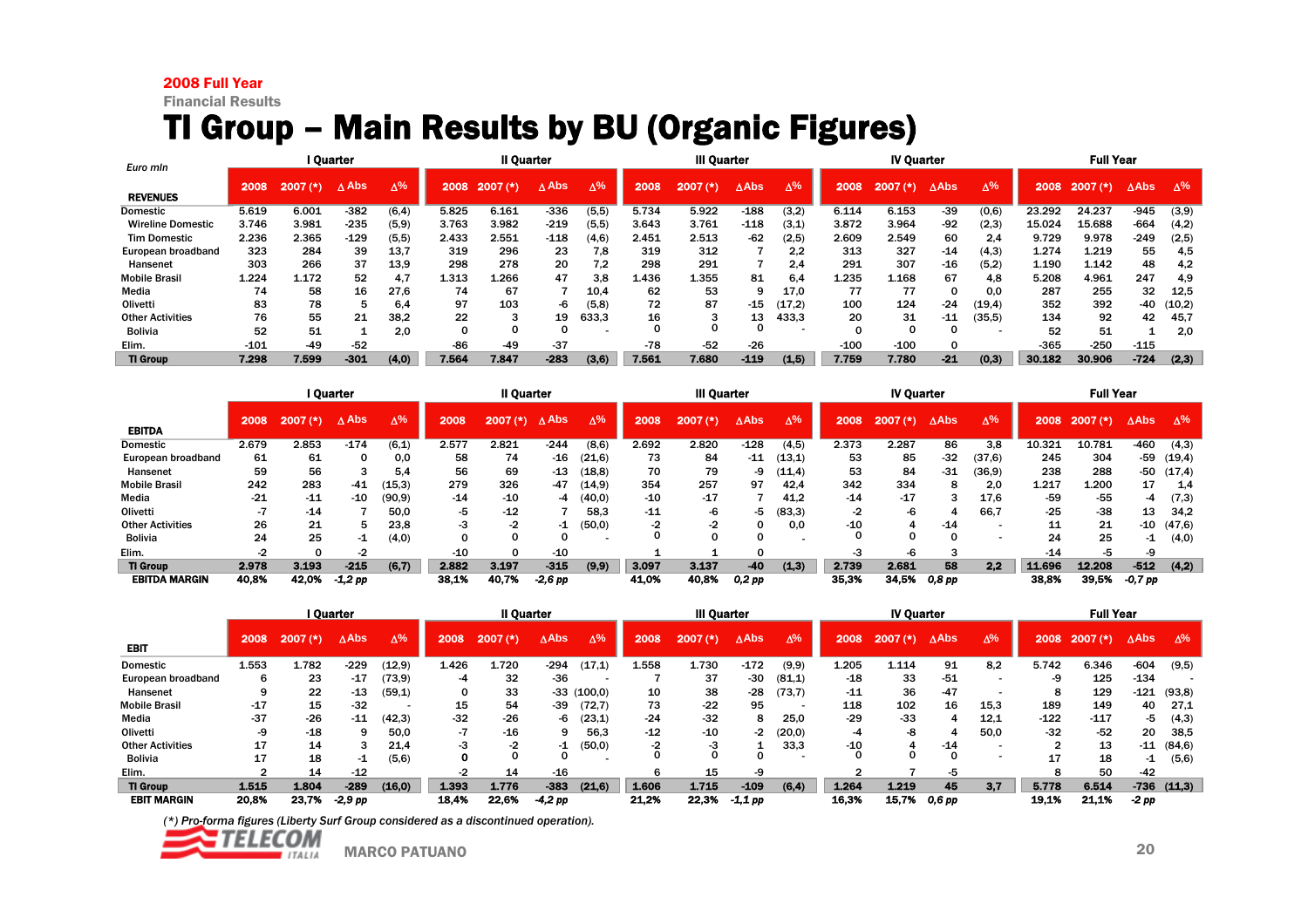#### 2008 Full Year

Financial Results

# TI Group – Main Results by BU (Organic Figures)

| Euro min                 |        |            | I Quarter |             |       | Il Quarter |               |             |       | <b>III Quarter</b> |             |            |        | <b>IV Quarter</b> |             |            |        | <b>Full Year</b> |                 |        |
|--------------------------|--------|------------|-----------|-------------|-------|------------|---------------|-------------|-------|--------------------|-------------|------------|--------|-------------------|-------------|------------|--------|------------------|-----------------|--------|
| <b>REVENUES</b>          | 2008   | $2007$ (*) | ∧ Abs     | $\Lambda\%$ | 2008  | $2007$ (*) | $\Lambda$ Abs | $\Lambda\%$ | 2008  | 2007<br>ぼき         | <b>AAbs</b> | $\Delta\%$ | 2008   | 2007(k)           | <b>AAbs</b> | $\Delta\%$ | 2008   | $2007$ (*)       | $\triangle$ Abs | Δ%     |
| <b>Domestic</b>          | 5.619  | 6.001      | $-382$    | (6, 4)      | 5.825 | 6.161      | $-336$        | (5, 5)      | 5.734 | 5.922              | $-188$      | (3,2)      | 6.114  | 6.153             | $-39$       | (0,6)      | 23.292 | 24.237           | $-945$          | (3,9)  |
| <b>Wireline Domestic</b> | 3.746  | 3.981      | $-235$    | (5,9)       | 3.763 | 3.982      | $-219$        | (5,5)       | 3.643 | 3.761              | $-118$      | (3,1)      | 3.872  | 3.964             | $-92$       | (2,3)      | 15.024 | 15.688           | $-664$          | (4,2)  |
| <b>Tim Domestic</b>      | 2.236  | 2.365      | $-129$    | (5,5)       | 2.433 | 2.551      | $-118$        | (4.6)       | 2.451 | 2.513              | $-62$       | (2,5)      | 2.609  | 2.549             | 60          | 2.4        | 9.729  | 9.978            | $-249$          | (2,5)  |
| European broadband       | 323    | 284        | 39        | 13,7        | 319   | 296        | 23            | 7,8         | 319   | 312                |             | 2.2        | 313    | 327               | $-14$       | (4,3)      | 1.274  | 1.219            | 55              | 4,5    |
| Hansenet                 | 303    | 266        | 37        | 13.9        | 298   | 278        | 20            | 7.2         | 298   | 291                |             | 2.4        | 291    | 307               | $-16$       | (5,2)      | 1.190  | 1.142            | 48              | 4,2    |
| <b>Mobile Brasil</b>     | 1.224  | 1.172      | 52        | 4.7         | 1.313 | 1.266      | 47            | 3.8         | 1.436 | 1.355              | 81          | 6.4        | 1.235  | 1.168             | 67          | 4,8        | 5.208  | 4.961            | 247             | 4,9    |
| Media                    | 74     | 58         | 16        | 27.6        | 74    | 67         |               | 10.4        | 62    | 53                 | q           | 17.0       | 77     | 77                |             | 0.0        | 287    | 255              | 32              | 12,5   |
| Olivetti                 | 83     | 78         |           | 6.4         | 97    | 103        | -6            | (5,8)       | 72    | 87                 | $-15$       | (17.2)     | 100    | 124               | $-24$       | (19, 4)    | 352    | 392              | -40             | (10,2) |
| <b>Other Activities</b>  | 76     | 55         | 21        | 38.2        | 22    |            | 19            | 633.3       | 16    |                    | 13          | 433,3      | 20     | 31                | $-11$       | (35, 5)    | 134    | 92               | 42              | 45,7   |
| <b>Bolivia</b>           | 52     | 51         |           | 2.0         |       |            |               |             |       |                    |             |            |        |                   | o           |            | 52     | 51               |                 | 2,0    |
| Elim.                    | $-101$ | $-49$      | $-52$     |             | $-86$ | $-49$      | $-37$         |             | $-78$ | $-52$              | $-26$       |            | $-100$ | $-100$            |             |            | $-365$ | $-250$           | $-115$          |        |
| <b>TI Group</b>          | 7.298  | 7.599      | $-301$    | (4.0)       | 7.564 | 7.847      | $-283$        | (3, 6)      | 7.561 | 7.680              | $-119$      | (1,5)      | 7.759  | 7.780             | $-21$       | (0, 3)     | 30.182 | 30.906           | $-724$          | (2,3)  |

|                         | I Quarter |                         |           |            |       | II Quarter |                 |            |       | <b>III Quarter</b> |              |            |       | <b>IV Quarter</b> |                 |            |        | <b>Full Year</b> |                 |            |
|-------------------------|-----------|-------------------------|-----------|------------|-------|------------|-----------------|------------|-------|--------------------|--------------|------------|-------|-------------------|-----------------|------------|--------|------------------|-----------------|------------|
| <b>EBITDA</b>           | 2008      | 2007<br>$^{\prime}$ (*) | A Abs     | $\Delta\%$ | 2008  | $2007$ (*) | $\triangle$ Abs | $\Delta\%$ | 2008  | $2007$ (*)         | $\Delta$ Abs | $\Delta\%$ | 2008  | $2007$ $(*)$      | $\triangle$ Abs | $\Delta\%$ | 2008   | $2007$ (*)       | $\triangle$ Abs | $\Delta\%$ |
| <b>Domestic</b>         | 2.679     | 2.853                   | $-174$    | (6,1)      | 2.577 | 2.821      | $-244$          | (8,6)      | 2.692 | 2.820              | $-128$       | (4, 5)     | 2.373 | 2.287             | 86              | 3.8        | 10.321 | 10.781           | $-460$          | (4,3)      |
| European broadband      | 61        | 61                      | 0         | 0.0        | 58    | 74         | $-16$           | (21, 6)    | 73    | 84                 | $-11$        | (13,1)     | 53    | 85                | $-32$           | (37, 6)    | 245    | 304              | -59             | (19, 4)    |
| Hansenet                | 59        | 56                      |           | 5.4        | 56    | 69         | $-13$           | (18,8)     | 70    | 79                 | -9           | (11,4)     | 53    | 84                | $-31$           | (36, 9)    | 238    | 288              | -50             | (17, 4)    |
| <b>Mobile Brasil</b>    | 242       | 283                     | $-41$     | (15, 3)    | 279   | 326        | -47             | (14.9)     | 354   | 257                | 97           | 42.4       | 342   | 334               | 8               | 2.0        | 1.217  | 1.200            | 17              | 1,4        |
| Media                   | $-21$     | $-11$                   | -10       | (90.9)     | $-14$ | $-10$      | -4              | (40,0)     | $-10$ | $-17$              |              | 41.2       | $-14$ | $-17$             |                 | 17.6       | -59    | -55              | -4              | (7,3)      |
| Olivetti                |           | $-14$                   |           | 50.0       | -5    | $-12$      |                 | 58.3       | $-11$ |                    | -5           | (83,3)     | -2    | -6                |                 | 66.7       | $-25$  | $-38$            | 13              | 34.2       |
| <b>Other Activities</b> | 26        | 21                      | 5         | 23,8       | -3    | -2         | $-1$            | (50, 0)    |       | -2                 |              | 0.0        | $-10$ |                   | $-14$           |            | 11     | 21               | -10             | (47, 6)    |
| <b>Bolivia</b>          | 24        | 25                      | -1        | (4,0)      |       |            | <sup>0</sup>    |            |       |                    |              |            |       |                   | <sup>0</sup>    |            | 24     | 25               | $-1$            | (4,0)      |
| Elim.                   |           |                         | -2        |            | -10   |            | $-10$           |            |       |                    |              |            | -3    | -6                |                 |            | $-14$  | -5               | -9              |            |
| <b>TI Group</b>         | 2.978     | 3.193                   | $-215$    | (6,7)      | 2.882 | 3.197      | $-315$          | (9, 9)     | 3.097 | 3.137              | $-40$        | (1,3)      | 2.739 | 2.681             | 58              | 2,2        | 11,696 | 12.208           | $-512$          | (4,2)      |
| <b>EBITDA MARGIN</b>    | 40.8%     | 42.0%                   | $-1,2$ pp |            | 38,1% | 40.7%      | $-2,6$ pp       |            | 41.0% | 40,8%              | 0,2 pp       |            | 35,3% | 34.5%             | 0,8 pp          |            | 38,8%  | 39.5%            | $-0.7$ pp       |            |

|                         | l Ouarter |            |                 |            |       | <b>II Quarter</b> |                 |              |       | <b>III Quarter</b> |                 |            |       | <b>IV Quarter</b> |                 |            |        | <b>Full Year</b> |                 |              |
|-------------------------|-----------|------------|-----------------|------------|-------|-------------------|-----------------|--------------|-------|--------------------|-----------------|------------|-------|-------------------|-----------------|------------|--------|------------------|-----------------|--------------|
| <b>EBIT</b>             | 2008      | $2007$ (*) | $\triangle$ Abs | $\Delta\%$ | 2008  | $2007$ (*)        | $\triangle$ Abs | $\Delta\%$   | 2008  | $2007$ (*)         | $\triangle$ Abs | $\Delta\%$ | 2008  | $2007$ $(*)$      | $\triangle$ Abs | $\Delta\%$ | 2008   | $2007$ (*)       | $\triangle$ Abs | $\Delta\%$   |
| <b>Domestic</b>         | 1.553     | 1.782      | $-229$          | (12.9)     | 1.426 | 1.720             | $-294$          | (17,1)       | 1.558 | 1.730              | $-172$          | (9, 9)     | 1.205 | 1.114             | 91              | 8,2        | 5.742  | 6.346            | $-604$          | (9,5)        |
| European broadband      | 6         | 23         | $-17$           | (73, 9)    | -4    | 32                | $-36$           |              |       | 37                 | -30             | (81,1)     | $-18$ | 33                | $-51$           |            | -9     | 125              | $-134$          |              |
| Hansenet                |           | 22         | $-13$           | (59,1)     |       | 33                |                 | $-33(100,0)$ | 10    | 38                 | $-28$           | (73,7)     | $-11$ | 36                | $-47$           |            | 8      | 129              | $-121$          | (93,8)       |
| <b>Mobile Brasil</b>    | $-17$     | 15         | $-32$           |            | 15    | 54                | -39             | (72,7)       | 73    | $-22$              | 95              |            | 118   | 102               | 16              | 15.3       | 189    | 149              | 40              | 27.1         |
| Media                   | $-37$     | $-26$      | $-11$           | (42,3)     | $-32$ | $-26$             | -6              | (23,1)       | $-24$ | $-32$              | 8               | 25.0       | $-29$ | -33               |                 | 12,1       | $-122$ | $-117$           | -5              | (4,3)        |
| Olivetti                | -9        | $-18$      |                 | 50.0       | -7    | $-16$             | 9.              | 56.3         | $-12$ | $-10$              | -2              | (20,0)     | -4    | -8                |                 | 50.0       | $-32$  | $-52$            | 20              | 38,5         |
| <b>Other Activities</b> | 17        | 14         |                 | 21.4       | -3    |                   | -1              | (50,0)       |       | -3                 |                 | 33,3       | -10   |                   | $-14$           |            |        | 13               | $-11$           | (84, 6)      |
| Bolivia                 | 17        | 18         | -1              | (5,6)      |       |                   |                 |              |       |                    |                 |            |       |                   |                 |            | 17     | 18               | -1              | (5,6)        |
| Elim.                   |           | 14         | $-12$           |            |       | 14                | $-16$           |              |       | 15                 | -9              |            |       |                   | -5              |            | 8      | 50               | -42             |              |
| <b>TI Group</b>         | 1.515     | 1.804      | $-289$          | (16.0)     | 1.393 | 1.776             | $-383$          | (21.6)       | 1.606 | 1.715              | $-109$          | (6, 4)     | 1.264 | 1.219             | 45              | 3.7        | 5.778  | 6.514            |                 | $-736(11,3)$ |
| <b>EBIT MARGIN</b>      | 20.8%     | 23.7%      | $-2.9$ pp       |            | 18.4% | 22.6%             | -4,2 pp         |              | 21,2% | 22.3%              | $-1,1$ pp       |            | 16,3% | 15.7%             | 0.6 pp          |            | 19,1%  | 21.1%            | $-2$ pp         |              |

![](_page_20_Picture_7.jpeg)